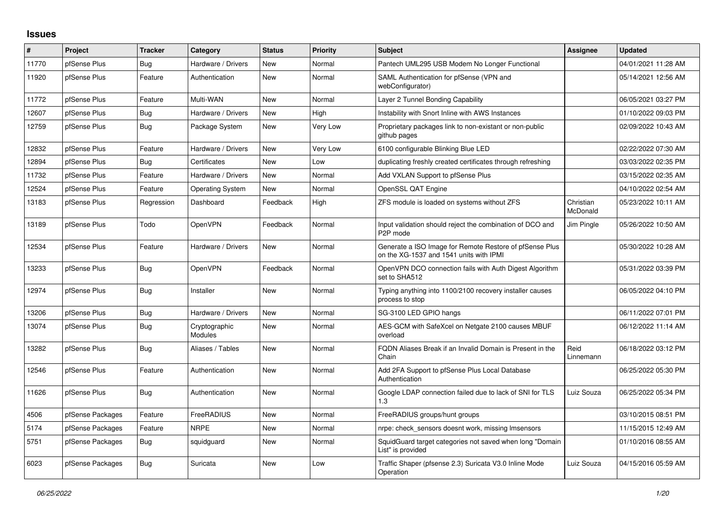## **Issues**

| ∦     | Project          | <b>Tracker</b> | Category                        | <b>Status</b> | <b>Priority</b> | <b>Subject</b>                                                                                     | Assignee              | <b>Updated</b>      |
|-------|------------------|----------------|---------------------------------|---------------|-----------------|----------------------------------------------------------------------------------------------------|-----------------------|---------------------|
| 11770 | pfSense Plus     | Bug            | Hardware / Drivers              | <b>New</b>    | Normal          | Pantech UML295 USB Modem No Longer Functional                                                      |                       | 04/01/2021 11:28 AM |
| 11920 | pfSense Plus     | Feature        | Authentication                  | <b>New</b>    | Normal          | SAML Authentication for pfSense (VPN and<br>webConfigurator)                                       |                       | 05/14/2021 12:56 AM |
| 11772 | pfSense Plus     | Feature        | Multi-WAN                       | <b>New</b>    | Normal          | Layer 2 Tunnel Bonding Capability                                                                  |                       | 06/05/2021 03:27 PM |
| 12607 | pfSense Plus     | Bug            | Hardware / Drivers              | <b>New</b>    | High            | Instability with Snort Inline with AWS Instances                                                   |                       | 01/10/2022 09:03 PM |
| 12759 | pfSense Plus     | Bug            | Package System                  | <b>New</b>    | Very Low        | Proprietary packages link to non-existant or non-public<br>github pages                            |                       | 02/09/2022 10:43 AM |
| 12832 | pfSense Plus     | Feature        | Hardware / Drivers              | <b>New</b>    | Very Low        | 6100 configurable Blinking Blue LED                                                                |                       | 02/22/2022 07:30 AM |
| 12894 | pfSense Plus     | <b>Bug</b>     | Certificates                    | <b>New</b>    | Low             | duplicating freshly created certificates through refreshing                                        |                       | 03/03/2022 02:35 PM |
| 11732 | pfSense Plus     | Feature        | Hardware / Drivers              | <b>New</b>    | Normal          | Add VXLAN Support to pfSense Plus                                                                  |                       | 03/15/2022 02:35 AM |
| 12524 | pfSense Plus     | Feature        | <b>Operating System</b>         | <b>New</b>    | Normal          | OpenSSL QAT Engine                                                                                 |                       | 04/10/2022 02:54 AM |
| 13183 | pfSense Plus     | Regression     | Dashboard                       | Feedback      | High            | ZFS module is loaded on systems without ZFS                                                        | Christian<br>McDonald | 05/23/2022 10:11 AM |
| 13189 | pfSense Plus     | Todo           | OpenVPN                         | Feedback      | Normal          | Input validation should reject the combination of DCO and<br>P <sub>2</sub> P mode                 | Jim Pingle            | 05/26/2022 10:50 AM |
| 12534 | pfSense Plus     | Feature        | Hardware / Drivers              | <b>New</b>    | Normal          | Generate a ISO Image for Remote Restore of pfSense Plus<br>on the XG-1537 and 1541 units with IPMI |                       | 05/30/2022 10:28 AM |
| 13233 | pfSense Plus     | <b>Bug</b>     | OpenVPN                         | Feedback      | Normal          | OpenVPN DCO connection fails with Auth Digest Algorithm<br>set to SHA512                           |                       | 05/31/2022 03:39 PM |
| 12974 | pfSense Plus     | <b>Bug</b>     | Installer                       | <b>New</b>    | Normal          | Typing anything into 1100/2100 recovery installer causes<br>process to stop                        |                       | 06/05/2022 04:10 PM |
| 13206 | pfSense Plus     | <b>Bug</b>     | Hardware / Drivers              | <b>New</b>    | Normal          | SG-3100 LED GPIO hangs                                                                             |                       | 06/11/2022 07:01 PM |
| 13074 | pfSense Plus     | Bug            | Cryptographic<br><b>Modules</b> | New           | Normal          | AES-GCM with SafeXcel on Netgate 2100 causes MBUF<br>overload                                      |                       | 06/12/2022 11:14 AM |
| 13282 | pfSense Plus     | Bug            | Aliases / Tables                | <b>New</b>    | Normal          | FQDN Aliases Break if an Invalid Domain is Present in the<br>Chain                                 | Reid<br>Linnemann     | 06/18/2022 03:12 PM |
| 12546 | pfSense Plus     | Feature        | Authentication                  | <b>New</b>    | Normal          | Add 2FA Support to pfSense Plus Local Database<br>Authentication                                   |                       | 06/25/2022 05:30 PM |
| 11626 | pfSense Plus     | <b>Bug</b>     | Authentication                  | <b>New</b>    | Normal          | Google LDAP connection failed due to lack of SNI for TLS<br>1.3                                    | Luiz Souza            | 06/25/2022 05:34 PM |
| 4506  | pfSense Packages | Feature        | FreeRADIUS                      | <b>New</b>    | Normal          | FreeRADIUS groups/hunt groups                                                                      |                       | 03/10/2015 08:51 PM |
| 5174  | pfSense Packages | Feature        | <b>NRPE</b>                     | <b>New</b>    | Normal          | nrpe: check_sensors doesnt work, missing Imsensors                                                 |                       | 11/15/2015 12:49 AM |
| 5751  | pfSense Packages | <b>Bug</b>     | squidguard                      | New           | Normal          | SquidGuard target categories not saved when long "Domain<br>List" is provided                      |                       | 01/10/2016 08:55 AM |
| 6023  | pfSense Packages | Bug            | Suricata                        | <b>New</b>    | Low             | Traffic Shaper (pfsense 2.3) Suricata V3.0 Inline Mode<br>Operation                                | Luiz Souza            | 04/15/2016 05:59 AM |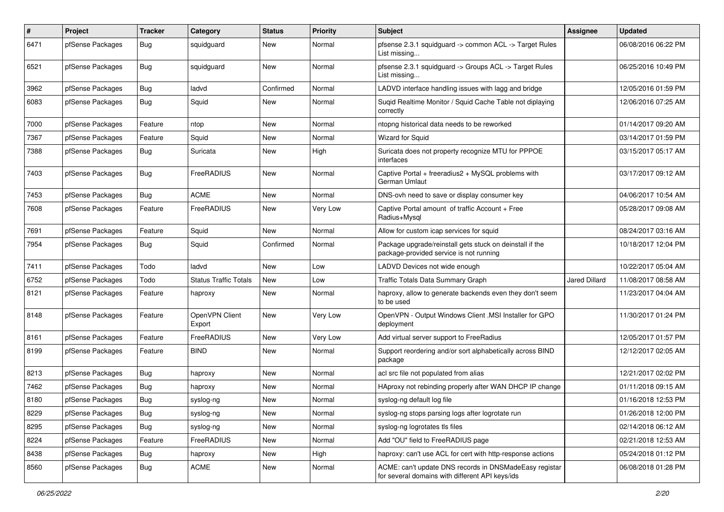| $\pmb{\#}$ | Project          | <b>Tracker</b> | Category                     | <b>Status</b> | Priority | <b>Subject</b>                                                                                            | <b>Assignee</b> | <b>Updated</b>      |
|------------|------------------|----------------|------------------------------|---------------|----------|-----------------------------------------------------------------------------------------------------------|-----------------|---------------------|
| 6471       | pfSense Packages | <b>Bug</b>     | squidguard                   | New           | Normal   | pfsense 2.3.1 squidguard -> common ACL -> Target Rules<br>List missing                                    |                 | 06/08/2016 06:22 PM |
| 6521       | pfSense Packages | <b>Bug</b>     | squidguard                   | <b>New</b>    | Normal   | pfsense 2.3.1 squidguard -> Groups ACL -> Target Rules<br>List missing                                    |                 | 06/25/2016 10:49 PM |
| 3962       | pfSense Packages | Bug            | ladvd                        | Confirmed     | Normal   | LADVD interface handling issues with lagg and bridge                                                      |                 | 12/05/2016 01:59 PM |
| 6083       | pfSense Packages | Bug            | Squid                        | <b>New</b>    | Normal   | Suqid Realtime Monitor / Squid Cache Table not diplaying<br>correctly                                     |                 | 12/06/2016 07:25 AM |
| 7000       | pfSense Packages | Feature        | ntop                         | <b>New</b>    | Normal   | ntopng historical data needs to be reworked                                                               |                 | 01/14/2017 09:20 AM |
| 7367       | pfSense Packages | Feature        | Squid                        | New           | Normal   | Wizard for Squid                                                                                          |                 | 03/14/2017 01:59 PM |
| 7388       | pfSense Packages | <b>Bug</b>     | Suricata                     | New           | High     | Suricata does not property recognize MTU for PPPOE<br>interfaces                                          |                 | 03/15/2017 05:17 AM |
| 7403       | pfSense Packages | <b>Bug</b>     | FreeRADIUS                   | <b>New</b>    | Normal   | Captive Portal + freeradius2 + MySQL problems with<br>German Umlaut                                       |                 | 03/17/2017 09:12 AM |
| 7453       | pfSense Packages | <b>Bug</b>     | <b>ACME</b>                  | <b>New</b>    | Normal   | DNS-ovh need to save or display consumer key                                                              |                 | 04/06/2017 10:54 AM |
| 7608       | pfSense Packages | Feature        | FreeRADIUS                   | New           | Very Low | Captive Portal amount of traffic Account + Free<br>Radius+Mysql                                           |                 | 05/28/2017 09:08 AM |
| 7691       | pfSense Packages | Feature        | Squid                        | New           | Normal   | Allow for custom icap services for squid                                                                  |                 | 08/24/2017 03:16 AM |
| 7954       | pfSense Packages | <b>Bug</b>     | Squid                        | Confirmed     | Normal   | Package upgrade/reinstall gets stuck on deinstall if the<br>package-provided service is not running       |                 | 10/18/2017 12:04 PM |
| 7411       | pfSense Packages | Todo           | ladvd                        | <b>New</b>    | Low      | LADVD Devices not wide enough                                                                             |                 | 10/22/2017 05:04 AM |
| 6752       | pfSense Packages | Todo           | <b>Status Traffic Totals</b> | New           | Low      | Traffic Totals Data Summary Graph                                                                         | Jared Dillard   | 11/08/2017 08:58 AM |
| 8121       | pfSense Packages | Feature        | haproxy                      | New           | Normal   | haproxy, allow to generate backends even they don't seem<br>to be used                                    |                 | 11/23/2017 04:04 AM |
| 8148       | pfSense Packages | Feature        | OpenVPN Client<br>Export     | <b>New</b>    | Very Low | OpenVPN - Output Windows Client .MSI Installer for GPO<br>deployment                                      |                 | 11/30/2017 01:24 PM |
| 8161       | pfSense Packages | Feature        | FreeRADIUS                   | <b>New</b>    | Very Low | Add virtual server support to FreeRadius                                                                  |                 | 12/05/2017 01:57 PM |
| 8199       | pfSense Packages | Feature        | <b>BIND</b>                  | <b>New</b>    | Normal   | Support reordering and/or sort alphabetically across BIND<br>package                                      |                 | 12/12/2017 02:05 AM |
| 8213       | pfSense Packages | Bug            | haproxy                      | New           | Normal   | acl src file not populated from alias                                                                     |                 | 12/21/2017 02:02 PM |
| 7462       | pfSense Packages | Bug            | haproxy                      | New           | Normal   | HAproxy not rebinding properly after WAN DHCP IP change                                                   |                 | 01/11/2018 09:15 AM |
| 8180       | pfSense Packages | Bug            | syslog-ng                    | <b>New</b>    | Normal   | syslog-ng default log file                                                                                |                 | 01/16/2018 12:53 PM |
| 8229       | pfSense Packages | <b>Bug</b>     | syslog-ng                    | New           | Normal   | syslog-ng stops parsing logs after logrotate run                                                          |                 | 01/26/2018 12:00 PM |
| 8295       | pfSense Packages | Bug            | syslog-ng                    | New           | Normal   | syslog-ng logrotates tls files                                                                            |                 | 02/14/2018 06:12 AM |
| 8224       | pfSense Packages | Feature        | FreeRADIUS                   | New           | Normal   | Add "OU" field to FreeRADIUS page                                                                         |                 | 02/21/2018 12:53 AM |
| 8438       | pfSense Packages | <b>Bug</b>     | haproxy                      | New           | High     | haproxy: can't use ACL for cert with http-response actions                                                |                 | 05/24/2018 01:12 PM |
| 8560       | pfSense Packages | Bug            | ACME                         | New           | Normal   | ACME: can't update DNS records in DNSMadeEasy registar<br>for several domains with different API keys/ids |                 | 06/08/2018 01:28 PM |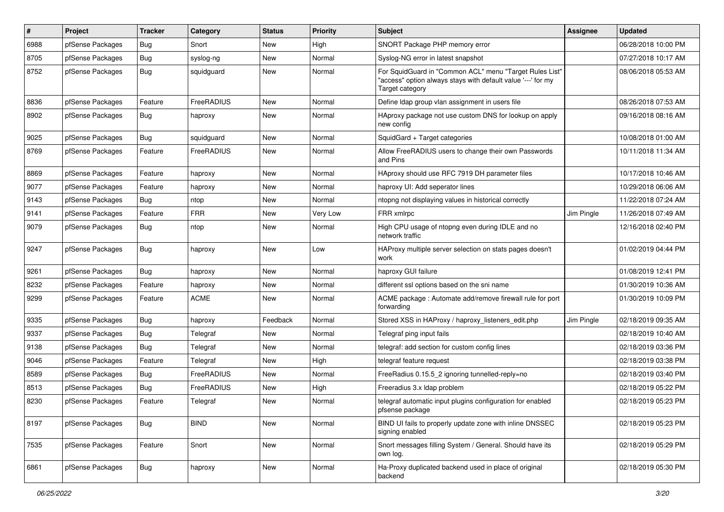| $\sharp$ | Project          | <b>Tracker</b> | Category    | <b>Status</b> | Priority | Subject                                                                                                                                    | <b>Assignee</b> | <b>Updated</b>      |
|----------|------------------|----------------|-------------|---------------|----------|--------------------------------------------------------------------------------------------------------------------------------------------|-----------------|---------------------|
| 6988     | pfSense Packages | <b>Bug</b>     | Snort       | New           | High     | SNORT Package PHP memory error                                                                                                             |                 | 06/28/2018 10:00 PM |
| 8705     | pfSense Packages | <b>Bug</b>     | syslog-ng   | New           | Normal   | Syslog-NG error in latest snapshot                                                                                                         |                 | 07/27/2018 10:17 AM |
| 8752     | pfSense Packages | Bug            | squidguard  | New           | Normal   | For SquidGuard in "Common ACL" menu "Target Rules List"<br>"access" option always stays with default value '---' for my<br>Target category |                 | 08/06/2018 05:53 AM |
| 8836     | pfSense Packages | Feature        | FreeRADIUS  | New           | Normal   | Define Idap group vlan assignment in users file                                                                                            |                 | 08/26/2018 07:53 AM |
| 8902     | pfSense Packages | <b>Bug</b>     | haproxy     | New           | Normal   | HAproxy package not use custom DNS for lookup on apply<br>new config                                                                       |                 | 09/16/2018 08:16 AM |
| 9025     | pfSense Packages | <b>Bug</b>     | squidguard  | New           | Normal   | SquidGard + Target categories                                                                                                              |                 | 10/08/2018 01:00 AM |
| 8769     | pfSense Packages | Feature        | FreeRADIUS  | New           | Normal   | Allow FreeRADIUS users to change their own Passwords<br>and Pins                                                                           |                 | 10/11/2018 11:34 AM |
| 8869     | pfSense Packages | Feature        | haproxy     | <b>New</b>    | Normal   | HAproxy should use RFC 7919 DH parameter files                                                                                             |                 | 10/17/2018 10:46 AM |
| 9077     | pfSense Packages | Feature        | haproxy     | New           | Normal   | haproxy UI: Add seperator lines                                                                                                            |                 | 10/29/2018 06:06 AM |
| 9143     | pfSense Packages | Bug            | ntop        | New           | Normal   | ntopng not displaying values in historical correctly                                                                                       |                 | 11/22/2018 07:24 AM |
| 9141     | pfSense Packages | Feature        | <b>FRR</b>  | New           | Very Low | FRR xmlrpc                                                                                                                                 | Jim Pingle      | 11/26/2018 07:49 AM |
| 9079     | pfSense Packages | <b>Bug</b>     | ntop        | <b>New</b>    | Normal   | High CPU usage of ntopng even during IDLE and no<br>network traffic                                                                        |                 | 12/16/2018 02:40 PM |
| 9247     | pfSense Packages | <b>Bug</b>     | haproxy     | New           | Low      | HAProxy multiple server selection on stats pages doesn't<br>work                                                                           |                 | 01/02/2019 04:44 PM |
| 9261     | pfSense Packages | <b>Bug</b>     | haproxy     | New           | Normal   | haproxy GUI failure                                                                                                                        |                 | 01/08/2019 12:41 PM |
| 8232     | pfSense Packages | Feature        | haproxy     | New           | Normal   | different ssl options based on the sni name                                                                                                |                 | 01/30/2019 10:36 AM |
| 9299     | pfSense Packages | Feature        | <b>ACME</b> | New           | Normal   | ACME package : Automate add/remove firewall rule for port<br>forwarding                                                                    |                 | 01/30/2019 10:09 PM |
| 9335     | pfSense Packages | Bug            | haproxy     | Feedback      | Normal   | Stored XSS in HAProxy / haproxy_listeners_edit.php                                                                                         | Jim Pingle      | 02/18/2019 09:35 AM |
| 9337     | pfSense Packages | <b>Bug</b>     | Telegraf    | New           | Normal   | Telegraf ping input fails                                                                                                                  |                 | 02/18/2019 10:40 AM |
| 9138     | pfSense Packages | Bug            | Telegraf    | New           | Normal   | telegraf: add section for custom config lines                                                                                              |                 | 02/18/2019 03:36 PM |
| 9046     | pfSense Packages | Feature        | Telegraf    | New           | High     | telegraf feature request                                                                                                                   |                 | 02/18/2019 03:38 PM |
| 8589     | pfSense Packages | <b>Bug</b>     | FreeRADIUS  | New           | Normal   | FreeRadius 0.15.5_2 ignoring tunnelled-reply=no                                                                                            |                 | 02/18/2019 03:40 PM |
| 8513     | pfSense Packages | <b>Bug</b>     | FreeRADIUS  | New           | High     | Freeradius 3.x Idap problem                                                                                                                |                 | 02/18/2019 05:22 PM |
| 8230     | pfSense Packages | Feature        | Telegraf    | New           | Normal   | telegraf automatic input plugins configuration for enabled<br>ptsense package                                                              |                 | 02/18/2019 05:23 PM |
| 8197     | pfSense Packages | <b>Bug</b>     | <b>BIND</b> | New           | Normal   | BIND UI fails to properly update zone with inline DNSSEC<br>signing enabled                                                                |                 | 02/18/2019 05:23 PM |
| 7535     | pfSense Packages | Feature        | Snort       | New           | Normal   | Snort messages filling System / General. Should have its<br>own log.                                                                       |                 | 02/18/2019 05:29 PM |
| 6861     | pfSense Packages | Bug            | haproxy     | New           | Normal   | Ha-Proxy duplicated backend used in place of original<br>backend                                                                           |                 | 02/18/2019 05:30 PM |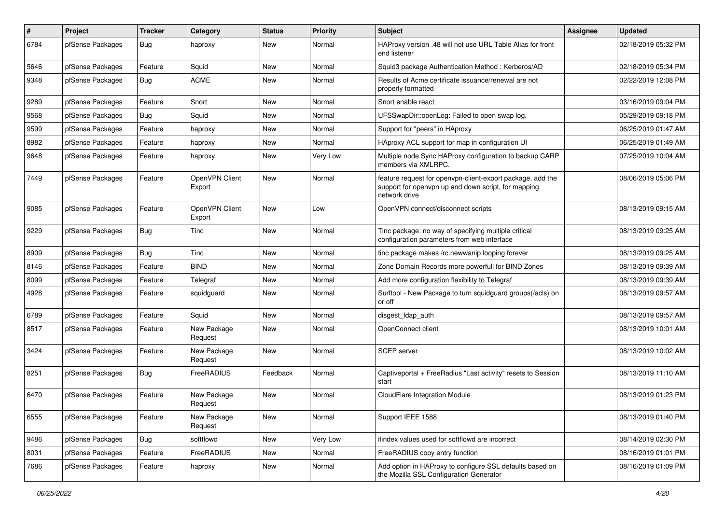| $\pmb{\#}$ | Project          | <b>Tracker</b> | Category                 | <b>Status</b> | Priority | Subject                                                                                                                            | <b>Assignee</b> | <b>Updated</b>      |
|------------|------------------|----------------|--------------------------|---------------|----------|------------------------------------------------------------------------------------------------------------------------------------|-----------------|---------------------|
| 6784       | pfSense Packages | Bug            | haproxy                  | New           | Normal   | HAProxy version .48 will not use URL Table Alias for front<br>end listener                                                         |                 | 02/18/2019 05:32 PM |
| 5646       | pfSense Packages | Feature        | Squid                    | New           | Normal   | Squid3 package Authentication Method: Kerberos/AD                                                                                  |                 | 02/18/2019 05:34 PM |
| 9348       | pfSense Packages | <b>Bug</b>     | <b>ACME</b>              | New           | Normal   | Results of Acme certificate issuance/renewal are not<br>properly formatted                                                         |                 | 02/22/2019 12:08 PM |
| 9289       | pfSense Packages | Feature        | Snort                    | <b>New</b>    | Normal   | Snort enable react                                                                                                                 |                 | 03/16/2019 09:04 PM |
| 9568       | pfSense Packages | Bug            | Squid                    | New           | Normal   | UFSSwapDir::openLog: Failed to open swap log.                                                                                      |                 | 05/29/2019 09:18 PM |
| 9599       | pfSense Packages | Feature        | haproxy                  | <b>New</b>    | Normal   | Support for "peers" in HAproxy                                                                                                     |                 | 06/25/2019 01:47 AM |
| 8982       | pfSense Packages | Feature        | haproxy                  | New           | Normal   | HAproxy ACL support for map in configuration UI                                                                                    |                 | 06/25/2019 01:49 AM |
| 9648       | pfSense Packages | Feature        | haproxy                  | New           | Very Low | Multiple node Sync HAProxy configuration to backup CARP<br>members via XMLRPC.                                                     |                 | 07/25/2019 10:04 AM |
| 7449       | pfSense Packages | Feature        | OpenVPN Client<br>Export | <b>New</b>    | Normal   | feature request for openvpn-client-export package, add the<br>support for openypn up and down script, for mapping<br>network drive |                 | 08/06/2019 05:06 PM |
| 9085       | pfSense Packages | Feature        | OpenVPN Client<br>Export | <b>New</b>    | Low      | OpenVPN connect/disconnect scripts                                                                                                 |                 | 08/13/2019 09:15 AM |
| 9229       | pfSense Packages | Bug            | Tinc                     | <b>New</b>    | Normal   | Tinc package: no way of specifying multiple critical<br>configuration parameters from web interface                                |                 | 08/13/2019 09:25 AM |
| 8909       | pfSense Packages | Bug            | Tinc                     | <b>New</b>    | Normal   | tinc package makes /rc.newwanip looping forever                                                                                    |                 | 08/13/2019 09:25 AM |
| 8146       | pfSense Packages | Feature        | <b>BIND</b>              | New           | Normal   | Zone Domain Records more powerfull for BIND Zones                                                                                  |                 | 08/13/2019 09:39 AM |
| 8099       | pfSense Packages | Feature        | Telegraf                 | New           | Normal   | Add more configuration flexibility to Telegraf                                                                                     |                 | 08/13/2019 09:39 AM |
| 4928       | pfSense Packages | Feature        | squidguard               | New           | Normal   | Surftool - New Package to turn squidguard groups(/acls) on<br>or off                                                               |                 | 08/13/2019 09:57 AM |
| 6789       | pfSense Packages | Feature        | Squid                    | New           | Normal   | disgest Idap auth                                                                                                                  |                 | 08/13/2019 09:57 AM |
| 8517       | pfSense Packages | Feature        | New Package<br>Request   | New           | Normal   | OpenConnect client                                                                                                                 |                 | 08/13/2019 10:01 AM |
| 3424       | pfSense Packages | Feature        | New Package<br>Request   | New           | Normal   | <b>SCEP</b> server                                                                                                                 |                 | 08/13/2019 10:02 AM |
| 8251       | pfSense Packages | <b>Bug</b>     | FreeRADIUS               | Feedback      | Normal   | Captiveportal + FreeRadius "Last activity" resets to Session<br>start                                                              |                 | 08/13/2019 11:10 AM |
| 6470       | pfSense Packages | Feature        | New Package<br>Request   | <b>New</b>    | Normal   | CloudFlare Integration Module                                                                                                      |                 | 08/13/2019 01:23 PM |
| 6555       | pfSense Packages | Feature        | New Package<br>Request   | New           | Normal   | Support IEEE 1588                                                                                                                  |                 | 08/13/2019 01:40 PM |
| 9486       | pfSense Packages | Bug            | softflowd                | New           | Very Low | ifindex values used for softflowd are incorrect                                                                                    |                 | 08/14/2019 02:30 PM |
| 8031       | pfSense Packages | Feature        | FreeRADIUS               | New           | Normal   | FreeRADIUS copy entry function                                                                                                     |                 | 08/16/2019 01:01 PM |
| 7686       | pfSense Packages | Feature        | haproxy                  | New           | Normal   | Add option in HAProxy to configure SSL defaults based on<br>the Mozilla SSL Configuration Generator                                |                 | 08/16/2019 01:09 PM |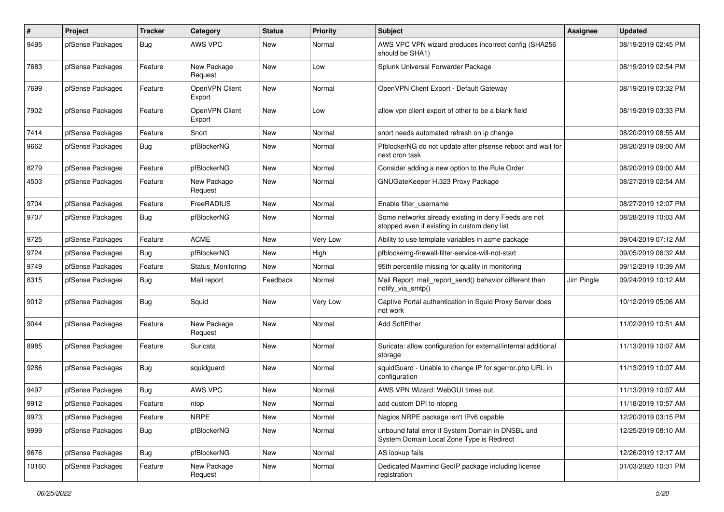| $\#$  | Project          | <b>Tracker</b> | Category                 | <b>Status</b> | <b>Priority</b> | <b>Subject</b>                                                                                       | <b>Assignee</b> | <b>Updated</b>      |
|-------|------------------|----------------|--------------------------|---------------|-----------------|------------------------------------------------------------------------------------------------------|-----------------|---------------------|
| 9495  | pfSense Packages | Bug            | <b>AWS VPC</b>           | New           | Normal          | AWS VPC VPN wizard produces incorrect config (SHA256<br>should be SHA1)                              |                 | 08/19/2019 02:45 PM |
| 7683  | pfSense Packages | Feature        | New Package<br>Request   | <b>New</b>    | Low             | Splunk Universal Forwarder Package                                                                   |                 | 08/19/2019 02:54 PM |
| 7699  | pfSense Packages | Feature        | OpenVPN Client<br>Export | <b>New</b>    | Normal          | OpenVPN Client Export - Default Gateway                                                              |                 | 08/19/2019 03:32 PM |
| 7902  | pfSense Packages | Feature        | OpenVPN Client<br>Export | <b>New</b>    | Low             | allow vpn client export of other to be a blank field                                                 |                 | 08/19/2019 03:33 PM |
| 7414  | pfSense Packages | Feature        | Snort                    | <b>New</b>    | Normal          | snort needs automated refresh on ip change                                                           |                 | 08/20/2019 08:55 AM |
| 9662  | pfSense Packages | <b>Bug</b>     | pfBlockerNG              | New           | Normal          | PfblockerNG do not update after pfsense reboot and wait for<br>next cron task                        |                 | 08/20/2019 09:00 AM |
| 8279  | pfSense Packages | Feature        | pfBlockerNG              | <b>New</b>    | Normal          | Consider adding a new option to the Rule Order                                                       |                 | 08/20/2019 09:00 AM |
| 4503  | pfSense Packages | Feature        | New Package<br>Request   | <b>New</b>    | Normal          | GNUGateKeeper H.323 Proxy Package                                                                    |                 | 08/27/2019 02:54 AM |
| 9704  | pfSense Packages | Feature        | FreeRADIUS               | <b>New</b>    | Normal          | Enable filter username                                                                               |                 | 08/27/2019 12:07 PM |
| 9707  | pfSense Packages | Bug            | pfBlockerNG              | <b>New</b>    | Normal          | Some networks already existing in deny Feeds are not<br>stopped even if existing in custom deny list |                 | 08/28/2019 10:03 AM |
| 9725  | pfSense Packages | Feature        | <b>ACME</b>              | New           | Very Low        | Ability to use template variables in acme package                                                    |                 | 09/04/2019 07:12 AM |
| 9724  | pfSense Packages | Bug            | pfBlockerNG              | New           | High            | pfblockerng-firewall-filter-service-will-not-start                                                   |                 | 09/05/2019 06:32 AM |
| 9749  | pfSense Packages | Feature        | Status Monitoring        | <b>New</b>    | Normal          | 95th percentile missing for quality in monitoring                                                    |                 | 09/12/2019 10:39 AM |
| 8315  | pfSense Packages | Bug            | Mail report              | Feedback      | Normal          | Mail Report mail_report_send() behavior different than<br>notify_via_smtp()                          | Jim Pingle      | 09/24/2019 10:12 AM |
| 9012  | pfSense Packages | <b>Bug</b>     | Squid                    | New           | Very Low        | Captive Portal authentication in Squid Proxy Server does<br>not work                                 |                 | 10/12/2019 05:06 AM |
| 9044  | pfSense Packages | Feature        | New Package<br>Request   | <b>New</b>    | Normal          | Add SoftEther                                                                                        |                 | 11/02/2019 10:51 AM |
| 8985  | pfSense Packages | Feature        | Suricata                 | <b>New</b>    | Normal          | Suricata: allow configuration for external/internal additional<br>storage                            |                 | 11/13/2019 10:07 AM |
| 9286  | pfSense Packages | Bug            | squidguard               | <b>New</b>    | Normal          | squidGuard - Unable to change IP for sgerror.php URL in<br>configuration                             |                 | 11/13/2019 10:07 AM |
| 9497  | pfSense Packages | <b>Bug</b>     | AWS VPC                  | <b>New</b>    | Normal          | AWS VPN Wizard: WebGUI times out.                                                                    |                 | 11/13/2019 10:07 AM |
| 9912  | pfSense Packages | Feature        | ntop                     | New           | Normal          | add custom DPI to ntopng                                                                             |                 | 11/18/2019 10:57 AM |
| 9973  | pfSense Packages | Feature        | <b>NRPE</b>              | New           | Normal          | Nagios NRPE package isn't IPv6 capable                                                               |                 | 12/20/2019 03:15 PM |
| 9999  | pfSense Packages | Bug            | pfBlockerNG              | New           | Normal          | unbound fatal error if System Domain in DNSBL and<br>System Domain Local Zone Type is Redirect       |                 | 12/25/2019 08:10 AM |
| 9676  | pfSense Packages | Bug            | pfBlockerNG              | New           | Normal          | AS lookup fails                                                                                      |                 | 12/26/2019 12:17 AM |
| 10160 | pfSense Packages | Feature        | New Package<br>Request   | New           | Normal          | Dedicated Maxmind GeoIP package including license<br>registration                                    |                 | 01/03/2020 10:31 PM |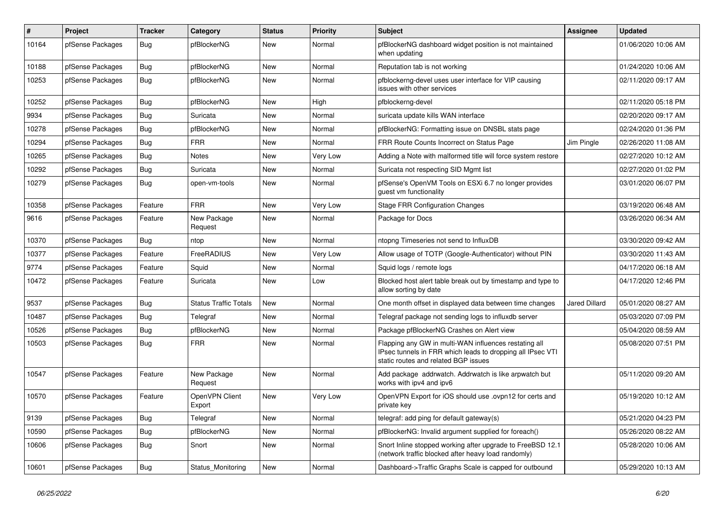| #     | Project          | Tracker    | Category                     | <b>Status</b> | <b>Priority</b> | <b>Subject</b>                                                                                                                                              | <b>Assignee</b>      | <b>Updated</b>      |
|-------|------------------|------------|------------------------------|---------------|-----------------|-------------------------------------------------------------------------------------------------------------------------------------------------------------|----------------------|---------------------|
| 10164 | pfSense Packages | <b>Bug</b> | pfBlockerNG                  | New           | Normal          | pfBlockerNG dashboard widget position is not maintained<br>when updating                                                                                    |                      | 01/06/2020 10:06 AM |
| 10188 | pfSense Packages | Bug        | pfBlockerNG                  | New           | Normal          | Reputation tab is not working                                                                                                                               |                      | 01/24/2020 10:06 AM |
| 10253 | pfSense Packages | Bug        | pfBlockerNG                  | New           | Normal          | pfblockerng-devel uses user interface for VIP causing<br>issues with other services                                                                         |                      | 02/11/2020 09:17 AM |
| 10252 | pfSense Packages | <b>Bug</b> | pfBlockerNG                  | New           | High            | pfblockerng-devel                                                                                                                                           |                      | 02/11/2020 05:18 PM |
| 9934  | pfSense Packages | Bug        | Suricata                     | New           | Normal          | suricata update kills WAN interface                                                                                                                         |                      | 02/20/2020 09:17 AM |
| 10278 | pfSense Packages | Bug        | pfBlockerNG                  | New           | Normal          | pfBlockerNG: Formatting issue on DNSBL stats page                                                                                                           |                      | 02/24/2020 01:36 PM |
| 10294 | pfSense Packages | Bug        | <b>FRR</b>                   | <b>New</b>    | Normal          | FRR Route Counts Incorrect on Status Page                                                                                                                   | Jim Pingle           | 02/26/2020 11:08 AM |
| 10265 | pfSense Packages | Bug        | <b>Notes</b>                 | New           | Very Low        | Adding a Note with malformed title will force system restore                                                                                                |                      | 02/27/2020 10:12 AM |
| 10292 | pfSense Packages | <b>Bug</b> | Suricata                     | New           | Normal          | Suricata not respecting SID Mgmt list                                                                                                                       |                      | 02/27/2020 01:02 PM |
| 10279 | pfSense Packages | Bug        | open-vm-tools                | New           | Normal          | pfSense's OpenVM Tools on ESXi 6.7 no longer provides<br>guest vm functionality                                                                             |                      | 03/01/2020 06:07 PM |
| 10358 | pfSense Packages | Feature    | <b>FRR</b>                   | <b>New</b>    | Very Low        | <b>Stage FRR Configuration Changes</b>                                                                                                                      |                      | 03/19/2020 06:48 AM |
| 9616  | pfSense Packages | Feature    | New Package<br>Request       | New           | Normal          | Package for Docs                                                                                                                                            |                      | 03/26/2020 06:34 AM |
| 10370 | pfSense Packages | <b>Bug</b> | ntop                         | New           | Normal          | ntopng Timeseries not send to InfluxDB                                                                                                                      |                      | 03/30/2020 09:42 AM |
| 10377 | pfSense Packages | Feature    | FreeRADIUS                   | New           | Very Low        | Allow usage of TOTP (Google-Authenticator) without PIN                                                                                                      |                      | 03/30/2020 11:43 AM |
| 9774  | pfSense Packages | Feature    | Squid                        | New           | Normal          | Squid logs / remote logs                                                                                                                                    |                      | 04/17/2020 06:18 AM |
| 10472 | pfSense Packages | Feature    | Suricata                     | New           | Low             | Blocked host alert table break out by timestamp and type to<br>allow sorting by date                                                                        |                      | 04/17/2020 12:46 PM |
| 9537  | pfSense Packages | Bug        | <b>Status Traffic Totals</b> | <b>New</b>    | Normal          | One month offset in displayed data between time changes                                                                                                     | <b>Jared Dillard</b> | 05/01/2020 08:27 AM |
| 10487 | pfSense Packages | <b>Bug</b> | Telegraf                     | New           | Normal          | Telegraf package not sending logs to influxdb server                                                                                                        |                      | 05/03/2020 07:09 PM |
| 10526 | pfSense Packages | <b>Bug</b> | pfBlockerNG                  | New           | Normal          | Package pfBlockerNG Crashes on Alert view                                                                                                                   |                      | 05/04/2020 08:59 AM |
| 10503 | pfSense Packages | Bug        | <b>FRR</b>                   | New           | Normal          | Flapping any GW in multi-WAN influences restating all<br>IPsec tunnels in FRR which leads to dropping all IPsec VTI<br>static routes and related BGP issues |                      | 05/08/2020 07:51 PM |
| 10547 | pfSense Packages | Feature    | New Package<br>Request       | New           | Normal          | Add package addrwatch. Addrwatch is like arpwatch but<br>works with ipv4 and ipv6                                                                           |                      | 05/11/2020 09:20 AM |
| 10570 | pfSense Packages | Feature    | OpenVPN Client<br>Export     | New           | Very Low        | OpenVPN Export for iOS should use .ovpn12 for certs and<br>private key                                                                                      |                      | 05/19/2020 10:12 AM |
| 9139  | pfSense Packages | <b>Bug</b> | Telegraf                     | New           | Normal          | telegraf: add ping for default gateway(s)                                                                                                                   |                      | 05/21/2020 04:23 PM |
| 10590 | pfSense Packages | Bug        | pfBlockerNG                  | New           | Normal          | pfBlockerNG: Invalid argument supplied for foreach()                                                                                                        |                      | 05/26/2020 08:22 AM |
| 10606 | pfSense Packages | Bug        | Snort                        | New           | Normal          | Snort Inline stopped working after upgrade to FreeBSD 12.1<br>(network traffic blocked after heavy load randomly)                                           |                      | 05/28/2020 10:06 AM |
| 10601 | pfSense Packages | <b>Bug</b> | Status_Monitoring            | New           | Normal          | Dashboard->Traffic Graphs Scale is capped for outbound                                                                                                      |                      | 05/29/2020 10:13 AM |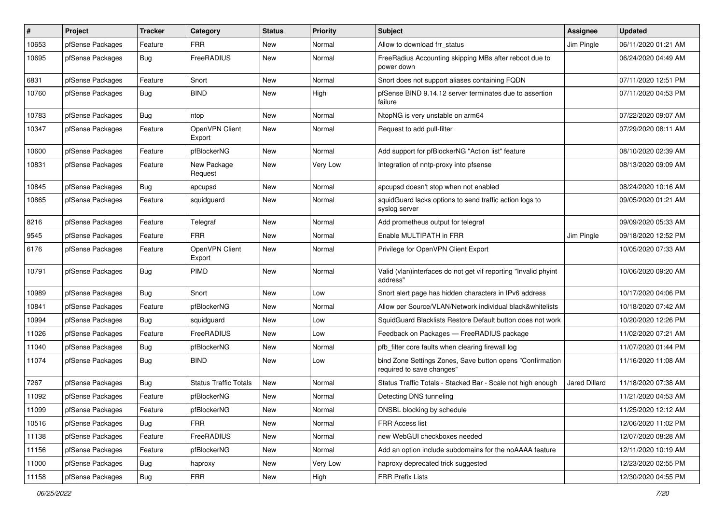| #     | Project          | <b>Tracker</b> | Category                     | <b>Status</b> | <b>Priority</b> | Subject                                                                                | Assignee             | <b>Updated</b>      |
|-------|------------------|----------------|------------------------------|---------------|-----------------|----------------------------------------------------------------------------------------|----------------------|---------------------|
| 10653 | pfSense Packages | Feature        | <b>FRR</b>                   | New           | Normal          | Allow to download frr status                                                           | Jim Pingle           | 06/11/2020 01:21 AM |
| 10695 | pfSense Packages | <b>Bug</b>     | FreeRADIUS                   | <b>New</b>    | Normal          | FreeRadius Accounting skipping MBs after reboot due to<br>power down                   |                      | 06/24/2020 04:49 AM |
| 6831  | pfSense Packages | Feature        | Snort                        | <b>New</b>    | Normal          | Snort does not support aliases containing FQDN                                         |                      | 07/11/2020 12:51 PM |
| 10760 | pfSense Packages | <b>Bug</b>     | <b>BIND</b>                  | <b>New</b>    | High            | pfSense BIND 9.14.12 server terminates due to assertion<br>failure                     |                      | 07/11/2020 04:53 PM |
| 10783 | pfSense Packages | Bug            | ntop                         | New           | Normal          | NtopNG is very unstable on arm64                                                       |                      | 07/22/2020 09:07 AM |
| 10347 | pfSense Packages | Feature        | OpenVPN Client<br>Export     | <b>New</b>    | Normal          | Request to add pull-filter                                                             |                      | 07/29/2020 08:11 AM |
| 10600 | pfSense Packages | Feature        | pfBlockerNG                  | <b>New</b>    | Normal          | Add support for pfBlockerNG "Action list" feature                                      |                      | 08/10/2020 02:39 AM |
| 10831 | pfSense Packages | Feature        | New Package<br>Request       | New           | Very Low        | Integration of nntp-proxy into pfsense                                                 |                      | 08/13/2020 09:09 AM |
| 10845 | pfSense Packages | Bug            | apcupsd                      | <b>New</b>    | Normal          | apcupsd doesn't stop when not enabled                                                  |                      | 08/24/2020 10:16 AM |
| 10865 | pfSense Packages | Feature        | squidguard                   | New           | Normal          | squidGuard lacks options to send traffic action logs to<br>syslog server               |                      | 09/05/2020 01:21 AM |
| 8216  | pfSense Packages | Feature        | Telegraf                     | <b>New</b>    | Normal          | Add prometheus output for telegraf                                                     |                      | 09/09/2020 05:33 AM |
| 9545  | pfSense Packages | Feature        | <b>FRR</b>                   | New           | Normal          | Enable MULTIPATH in FRR                                                                | Jim Pingle           | 09/18/2020 12:52 PM |
| 6176  | pfSense Packages | Feature        | OpenVPN Client<br>Export     | New           | Normal          | Privilege for OpenVPN Client Export                                                    |                      | 10/05/2020 07:33 AM |
| 10791 | pfSense Packages | <b>Bug</b>     | PIMD                         | <b>New</b>    | Normal          | Valid (vlan)interfaces do not get vif reporting "Invalid phyint<br>address"            |                      | 10/06/2020 09:20 AM |
| 10989 | pfSense Packages | Bug            | Snort                        | New           | Low             | Snort alert page has hidden characters in IPv6 address                                 |                      | 10/17/2020 04:06 PM |
| 10841 | pfSense Packages | Feature        | pfBlockerNG                  | New           | Normal          | Allow per Source/VLAN/Network individual black&whitelists                              |                      | 10/18/2020 07:42 AM |
| 10994 | pfSense Packages | <b>Bug</b>     | squidguard                   | <b>New</b>    | Low             | SquidGuard Blacklists Restore Default button does not work                             |                      | 10/20/2020 12:26 PM |
| 11026 | pfSense Packages | Feature        | FreeRADIUS                   | New           | Low             | Feedback on Packages - FreeRADIUS package                                              |                      | 11/02/2020 07:21 AM |
| 11040 | pfSense Packages | <b>Bug</b>     | pfBlockerNG                  | New           | Normal          | pfb_filter core faults when clearing firewall log                                      |                      | 11/07/2020 01:44 PM |
| 11074 | pfSense Packages | <b>Bug</b>     | <b>BIND</b>                  | New           | Low             | bind Zone Settings Zones, Save button opens "Confirmation<br>required to save changes" |                      | 11/16/2020 11:08 AM |
| 7267  | pfSense Packages | <b>Bug</b>     | <b>Status Traffic Totals</b> | <b>New</b>    | Normal          | Status Traffic Totals - Stacked Bar - Scale not high enough                            | <b>Jared Dillard</b> | 11/18/2020 07:38 AM |
| 11092 | pfSense Packages | Feature        | pfBlockerNG                  | New           | Normal          | Detecting DNS tunneling                                                                |                      | 11/21/2020 04:53 AM |
| 11099 | pfSense Packages | Feature        | pfBlockerNG                  | New           | Normal          | DNSBL blocking by schedule                                                             |                      | 11/25/2020 12:12 AM |
| 10516 | pfSense Packages | <b>Bug</b>     | <b>FRR</b>                   | New           | Normal          | FRR Access list                                                                        |                      | 12/06/2020 11:02 PM |
| 11138 | pfSense Packages | Feature        | FreeRADIUS                   | New           | Normal          | new WebGUI checkboxes needed                                                           |                      | 12/07/2020 08:28 AM |
| 11156 | pfSense Packages | Feature        | pfBlockerNG                  | New           | Normal          | Add an option include subdomains for the noAAAA feature                                |                      | 12/11/2020 10:19 AM |
| 11000 | pfSense Packages | <b>Bug</b>     | haproxy                      | New           | Very Low        | haproxy deprecated trick suggested                                                     |                      | 12/23/2020 02:55 PM |
| 11158 | pfSense Packages | Bug            | <b>FRR</b>                   | New           | High            | FRR Prefix Lists                                                                       |                      | 12/30/2020 04:55 PM |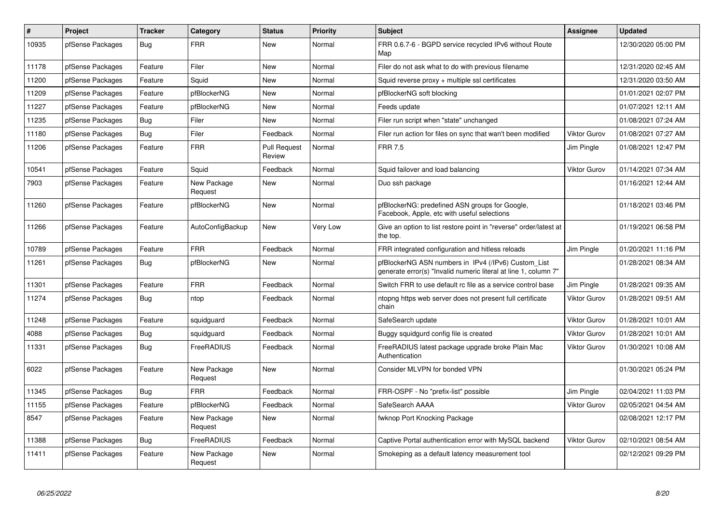| #     | <b>Project</b>   | <b>Tracker</b> | Category               | <b>Status</b>                 | <b>Priority</b> | <b>Subject</b>                                                                                                         | Assignee            | <b>Updated</b>      |
|-------|------------------|----------------|------------------------|-------------------------------|-----------------|------------------------------------------------------------------------------------------------------------------------|---------------------|---------------------|
| 10935 | pfSense Packages | Bug            | <b>FRR</b>             | <b>New</b>                    | Normal          | FRR 0.6.7-6 - BGPD service recycled IPv6 without Route<br>Map                                                          |                     | 12/30/2020 05:00 PM |
| 11178 | pfSense Packages | Feature        | Filer                  | <b>New</b>                    | Normal          | Filer do not ask what to do with previous filename                                                                     |                     | 12/31/2020 02:45 AM |
| 11200 | pfSense Packages | Feature        | Squid                  | <b>New</b>                    | Normal          | Squid reverse proxy + multiple ssl certificates                                                                        |                     | 12/31/2020 03:50 AM |
| 11209 | pfSense Packages | Feature        | pfBlockerNG            | New                           | Normal          | pfBlockerNG soft blocking                                                                                              |                     | 01/01/2021 02:07 PM |
| 11227 | pfSense Packages | Feature        | pfBlockerNG            | <b>New</b>                    | Normal          | Feeds update                                                                                                           |                     | 01/07/2021 12:11 AM |
| 11235 | pfSense Packages | <b>Bug</b>     | Filer                  | New                           | Normal          | Filer run script when "state" unchanged                                                                                |                     | 01/08/2021 07:24 AM |
| 11180 | pfSense Packages | Bug            | Filer                  | Feedback                      | Normal          | Filer run action for files on sync that wan't been modified                                                            | <b>Viktor Gurov</b> | 01/08/2021 07:27 AM |
| 11206 | pfSense Packages | Feature        | <b>FRR</b>             | <b>Pull Request</b><br>Review | Normal          | <b>FRR 7.5</b>                                                                                                         | Jim Pingle          | 01/08/2021 12:47 PM |
| 10541 | pfSense Packages | Feature        | Squid                  | Feedback                      | Normal          | Squid failover and load balancing                                                                                      | <b>Viktor Gurov</b> | 01/14/2021 07:34 AM |
| 7903  | pfSense Packages | Feature        | New Package<br>Request | <b>New</b>                    | Normal          | Duo ssh package                                                                                                        |                     | 01/16/2021 12:44 AM |
| 11260 | pfSense Packages | Feature        | pfBlockerNG            | <b>New</b>                    | Normal          | pfBlockerNG: predefined ASN groups for Google,<br>Facebook, Apple, etc with useful selections                          |                     | 01/18/2021 03:46 PM |
| 11266 | pfSense Packages | Feature        | AutoConfigBackup       | New                           | Very Low        | Give an option to list restore point in "reverse" order/latest at<br>the top.                                          |                     | 01/19/2021 06:58 PM |
| 10789 | pfSense Packages | Feature        | <b>FRR</b>             | Feedback                      | Normal          | FRR integrated configuration and hitless reloads                                                                       | Jim Pingle          | 01/20/2021 11:16 PM |
| 11261 | pfSense Packages | Bug            | pfBlockerNG            | <b>New</b>                    | Normal          | pfBlockerNG ASN numbers in IPv4 (/IPv6) Custom List<br>generate error(s) "Invalid numeric literal at line 1, column 7" |                     | 01/28/2021 08:34 AM |
| 11301 | pfSense Packages | Feature        | <b>FRR</b>             | Feedback                      | Normal          | Switch FRR to use default rc file as a service control base                                                            | Jim Pingle          | 01/28/2021 09:35 AM |
| 11274 | pfSense Packages | <b>Bug</b>     | ntop                   | Feedback                      | Normal          | ntopng https web server does not present full certificate<br>chain                                                     | Viktor Gurov        | 01/28/2021 09:51 AM |
| 11248 | pfSense Packages | Feature        | squidguard             | Feedback                      | Normal          | SafeSearch update                                                                                                      | <b>Viktor Gurov</b> | 01/28/2021 10:01 AM |
| 4088  | pfSense Packages | Bug            | squidguard             | Feedback                      | Normal          | Buggy squidgurd config file is created                                                                                 | Viktor Gurov        | 01/28/2021 10:01 AM |
| 11331 | pfSense Packages | Bug            | FreeRADIUS             | Feedback                      | Normal          | FreeRADIUS latest package upgrade broke Plain Mac<br>Authentication                                                    | <b>Viktor Gurov</b> | 01/30/2021 10:08 AM |
| 6022  | pfSense Packages | Feature        | New Package<br>Request | <b>New</b>                    | Normal          | Consider MLVPN for bonded VPN                                                                                          |                     | 01/30/2021 05:24 PM |
| 11345 | pfSense Packages | Bug            | <b>FRR</b>             | Feedback                      | Normal          | FRR-OSPF - No "prefix-list" possible                                                                                   | Jim Pingle          | 02/04/2021 11:03 PM |
| 11155 | pfSense Packages | Feature        | pfBlockerNG            | Feedback                      | Normal          | SafeSearch AAAA                                                                                                        | <b>Viktor Gurov</b> | 02/05/2021 04:54 AM |
| 8547  | pfSense Packages | Feature        | New Package<br>Request | <b>New</b>                    | Normal          | fwknop Port Knocking Package                                                                                           |                     | 02/08/2021 12:17 PM |
| 11388 | pfSense Packages | Bug            | FreeRADIUS             | Feedback                      | Normal          | Captive Portal authentication error with MySQL backend                                                                 | <b>Viktor Gurov</b> | 02/10/2021 08:54 AM |
| 11411 | pfSense Packages | Feature        | New Package<br>Request | <b>New</b>                    | Normal          | Smokeping as a default latency measurement tool                                                                        |                     | 02/12/2021 09:29 PM |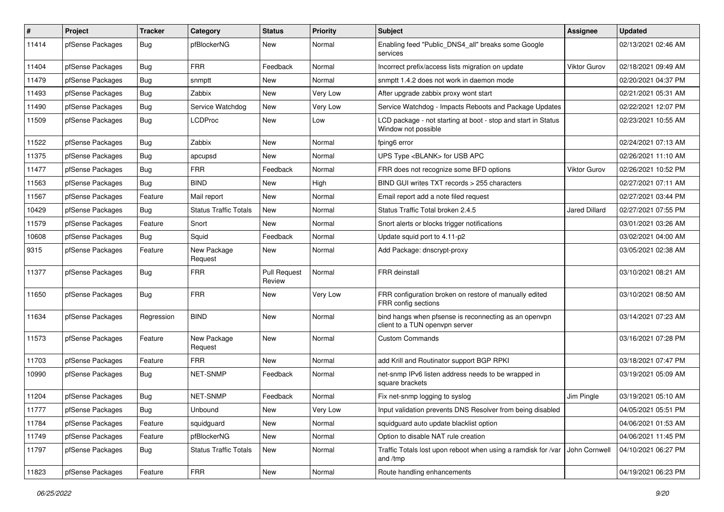| ∦     | Project          | <b>Tracker</b> | Category                     | <b>Status</b>                 | <b>Priority</b> | <b>Subject</b>                                                                          | Assignee             | <b>Updated</b>      |
|-------|------------------|----------------|------------------------------|-------------------------------|-----------------|-----------------------------------------------------------------------------------------|----------------------|---------------------|
| 11414 | pfSense Packages | <b>Bug</b>     | pfBlockerNG                  | New                           | Normal          | Enabling feed "Public DNS4 all" breaks some Google<br>services                          |                      | 02/13/2021 02:46 AM |
| 11404 | pfSense Packages | Bug            | <b>FRR</b>                   | Feedback                      | Normal          | Incorrect prefix/access lists migration on update                                       | <b>Viktor Gurov</b>  | 02/18/2021 09:49 AM |
| 11479 | pfSense Packages | Bug            | snmptt                       | New                           | Normal          | snmptt 1.4.2 does not work in daemon mode                                               |                      | 02/20/2021 04:37 PM |
| 11493 | pfSense Packages | <b>Bug</b>     | Zabbix                       | <b>New</b>                    | Very Low        | After upgrade zabbix proxy wont start                                                   |                      | 02/21/2021 05:31 AM |
| 11490 | pfSense Packages | Bug            | Service Watchdog             | New                           | Very Low        | Service Watchdog - Impacts Reboots and Package Updates                                  |                      | 02/22/2021 12:07 PM |
| 11509 | pfSense Packages | <b>Bug</b>     | <b>LCDProc</b>               | New                           | Low             | LCD package - not starting at boot - stop and start in Status<br>Window not possible    |                      | 02/23/2021 10:55 AM |
| 11522 | pfSense Packages | Bug            | Zabbix                       | <b>New</b>                    | Normal          | fping6 error                                                                            |                      | 02/24/2021 07:13 AM |
| 11375 | pfSense Packages | <b>Bug</b>     | apcupsd                      | New                           | Normal          | UPS Type <blank> for USB APC</blank>                                                    |                      | 02/26/2021 11:10 AM |
| 11477 | pfSense Packages | <b>Bug</b>     | <b>FRR</b>                   | Feedback                      | Normal          | FRR does not recognize some BFD options                                                 | Viktor Gurov         | 02/26/2021 10:52 PM |
| 11563 | pfSense Packages | Bug            | <b>BIND</b>                  | New                           | High            | BIND GUI writes TXT records > 255 characters                                            |                      | 02/27/2021 07:11 AM |
| 11567 | pfSense Packages | Feature        | Mail report                  | New                           | Normal          | Email report add a note filed request                                                   |                      | 02/27/2021 03:44 PM |
| 10429 | pfSense Packages | <b>Bug</b>     | <b>Status Traffic Totals</b> | New                           | Normal          | Status Traffic Total broken 2.4.5                                                       | <b>Jared Dillard</b> | 02/27/2021 07:55 PM |
| 11579 | pfSense Packages | Feature        | Snort                        | <b>New</b>                    | Normal          | Snort alerts or blocks trigger notifications                                            |                      | 03/01/2021 03:26 AM |
| 10608 | pfSense Packages | Bug            | Squid                        | Feedback                      | Normal          | Update squid port to 4.11-p2                                                            |                      | 03/02/2021 04:00 AM |
| 9315  | pfSense Packages | Feature        | New Package<br>Request       | New                           | Normal          | Add Package: dnscrypt-proxy                                                             |                      | 03/05/2021 02:38 AM |
| 11377 | pfSense Packages | <b>Bug</b>     | <b>FRR</b>                   | <b>Pull Request</b><br>Review | Normal          | FRR deinstall                                                                           |                      | 03/10/2021 08:21 AM |
| 11650 | pfSense Packages | Bug            | <b>FRR</b>                   | New                           | Very Low        | FRR configuration broken on restore of manually edited<br>FRR config sections           |                      | 03/10/2021 08:50 AM |
| 11634 | pfSense Packages | Regression     | <b>BIND</b>                  | <b>New</b>                    | Normal          | bind hangs when pfsense is reconnecting as an openvpn<br>client to a TUN openvpn server |                      | 03/14/2021 07:23 AM |
| 11573 | pfSense Packages | Feature        | New Package<br>Request       | <b>New</b>                    | Normal          | <b>Custom Commands</b>                                                                  |                      | 03/16/2021 07:28 PM |
| 11703 | pfSense Packages | Feature        | <b>FRR</b>                   | New                           | Normal          | add Krill and Routinator support BGP RPKI                                               |                      | 03/18/2021 07:47 PM |
| 10990 | pfSense Packages | Bug            | NET-SNMP                     | Feedback                      | Normal          | net-snmp IPv6 listen address needs to be wrapped in<br>square brackets                  |                      | 03/19/2021 05:09 AM |
| 11204 | pfSense Packages | <b>Bug</b>     | NET-SNMP                     | Feedback                      | Normal          | Fix net-snmp logging to syslog                                                          | Jim Pingle           | 03/19/2021 05:10 AM |
| 11777 | pfSense Packages | <b>Bug</b>     | Unbound                      | New                           | Very Low        | Input validation prevents DNS Resolver from being disabled                              |                      | 04/05/2021 05:51 PM |
| 11784 | pfSense Packages | Feature        | squidguard                   | New                           | Normal          | squidguard auto update blacklist option                                                 |                      | 04/06/2021 01:53 AM |
| 11749 | pfSense Packages | Feature        | pfBlockerNG                  | New                           | Normal          | Option to disable NAT rule creation                                                     |                      | 04/06/2021 11:45 PM |
| 11797 | pfSense Packages | Bug            | <b>Status Traffic Totals</b> | New                           | Normal          | Traffic Totals lost upon reboot when using a ramdisk for /var<br>and /tmp               | John Cornwell        | 04/10/2021 06:27 PM |
| 11823 | pfSense Packages | Feature        | <b>FRR</b>                   | New                           | Normal          | Route handling enhancements                                                             |                      | 04/19/2021 06:23 PM |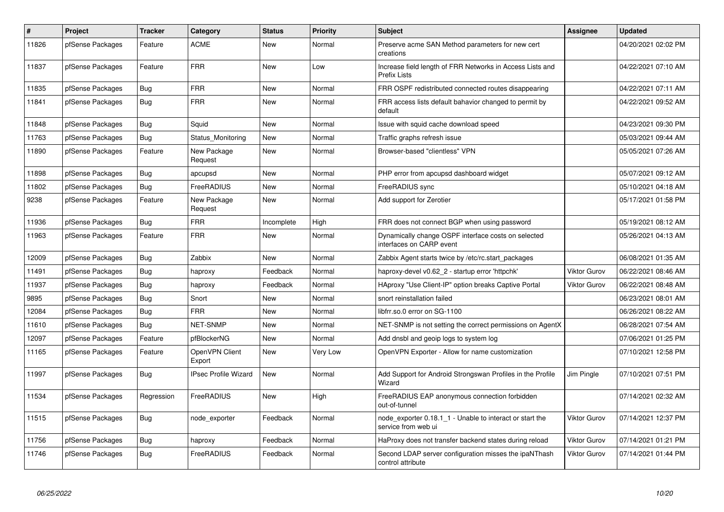| #     | Project          | <b>Tracker</b> | Category                    | <b>Status</b> | <b>Priority</b> | <b>Subject</b>                                                                  | Assignee            | <b>Updated</b>      |
|-------|------------------|----------------|-----------------------------|---------------|-----------------|---------------------------------------------------------------------------------|---------------------|---------------------|
| 11826 | pfSense Packages | Feature        | <b>ACME</b>                 | <b>New</b>    | Normal          | Preserve acme SAN Method parameters for new cert<br>creations                   |                     | 04/20/2021 02:02 PM |
| 11837 | pfSense Packages | Feature        | <b>FRR</b>                  | <b>New</b>    | Low             | Increase field length of FRR Networks in Access Lists and<br>Prefix Lists       |                     | 04/22/2021 07:10 AM |
| 11835 | pfSense Packages | Bug            | <b>FRR</b>                  | New           | Normal          | FRR OSPF redistributed connected routes disappearing                            |                     | 04/22/2021 07:11 AM |
| 11841 | pfSense Packages | Bug            | <b>FRR</b>                  | <b>New</b>    | Normal          | FRR access lists default bahavior changed to permit by<br>default               |                     | 04/22/2021 09:52 AM |
| 11848 | pfSense Packages | <b>Bug</b>     | Squid                       | <b>New</b>    | Normal          | Issue with squid cache download speed                                           |                     | 04/23/2021 09:30 PM |
| 11763 | pfSense Packages | Bug            | Status Monitoring           | New           | Normal          | Traffic graphs refresh issue                                                    |                     | 05/03/2021 09:44 AM |
| 11890 | pfSense Packages | Feature        | New Package<br>Request      | <b>New</b>    | Normal          | Browser-based "clientless" VPN                                                  |                     | 05/05/2021 07:26 AM |
| 11898 | pfSense Packages | Bug            | apcupsd                     | <b>New</b>    | Normal          | PHP error from apcupsd dashboard widget                                         |                     | 05/07/2021 09:12 AM |
| 11802 | pfSense Packages | <b>Bug</b>     | FreeRADIUS                  | <b>New</b>    | Normal          | FreeRADIUS sync                                                                 |                     | 05/10/2021 04:18 AM |
| 9238  | pfSense Packages | Feature        | New Package<br>Request      | New           | Normal          | Add support for Zerotier                                                        |                     | 05/17/2021 01:58 PM |
| 11936 | pfSense Packages | <b>Bug</b>     | <b>FRR</b>                  | Incomplete    | High            | FRR does not connect BGP when using password                                    |                     | 05/19/2021 08:12 AM |
| 11963 | pfSense Packages | Feature        | <b>FRR</b>                  | <b>New</b>    | Normal          | Dynamically change OSPF interface costs on selected<br>interfaces on CARP event |                     | 05/26/2021 04:13 AM |
| 12009 | pfSense Packages | Bug            | Zabbix                      | <b>New</b>    | Normal          | Zabbix Agent starts twice by /etc/rc.start packages                             |                     | 06/08/2021 01:35 AM |
| 11491 | pfSense Packages | <b>Bug</b>     | haproxy                     | Feedback      | Normal          | haproxy-devel v0.62_2 - startup error 'httpchk'                                 | <b>Viktor Gurov</b> | 06/22/2021 08:46 AM |
| 11937 | pfSense Packages | Bug            | haproxy                     | Feedback      | Normal          | HAproxy "Use Client-IP" option breaks Captive Portal                            | <b>Viktor Gurov</b> | 06/22/2021 08:48 AM |
| 9895  | pfSense Packages | <b>Bug</b>     | Snort                       | <b>New</b>    | Normal          | snort reinstallation failed                                                     |                     | 06/23/2021 08:01 AM |
| 12084 | pfSense Packages | Bug            | <b>FRR</b>                  | <b>New</b>    | Normal          | libfrr.so.0 error on SG-1100                                                    |                     | 06/26/2021 08:22 AM |
| 11610 | pfSense Packages | Bug            | <b>NET-SNMP</b>             | <b>New</b>    | Normal          | NET-SNMP is not setting the correct permissions on AgentX                       |                     | 06/28/2021 07:54 AM |
| 12097 | pfSense Packages | Feature        | pfBlockerNG                 | New           | Normal          | Add dnsbl and geoip logs to system log                                          |                     | 07/06/2021 01:25 PM |
| 11165 | pfSense Packages | Feature        | OpenVPN Client<br>Export    | <b>New</b>    | Very Low        | OpenVPN Exporter - Allow for name customization                                 |                     | 07/10/2021 12:58 PM |
| 11997 | pfSense Packages | Bug            | <b>IPsec Profile Wizard</b> | New           | Normal          | Add Support for Android Strongswan Profiles in the Profile<br>Wizard            | Jim Pingle          | 07/10/2021 07:51 PM |
| 11534 | pfSense Packages | Regression     | FreeRADIUS                  | <b>New</b>    | High            | FreeRADIUS EAP anonymous connection forbidden<br>out-of-tunnel                  |                     | 07/14/2021 02:32 AM |
| 11515 | pfSense Packages | Bug            | node exporter               | Feedback      | Normal          | node exporter 0.18.1 1 - Unable to interact or start the<br>service from web ui | Viktor Gurov        | 07/14/2021 12:37 PM |
| 11756 | pfSense Packages | Bug            | haproxy                     | Feedback      | Normal          | HaProxy does not transfer backend states during reload                          | Viktor Gurov        | 07/14/2021 01:21 PM |
| 11746 | pfSense Packages | <b>Bug</b>     | FreeRADIUS                  | Feedback      | Normal          | Second LDAP server configuration misses the ipaNThash<br>control attribute      | <b>Viktor Gurov</b> | 07/14/2021 01:44 PM |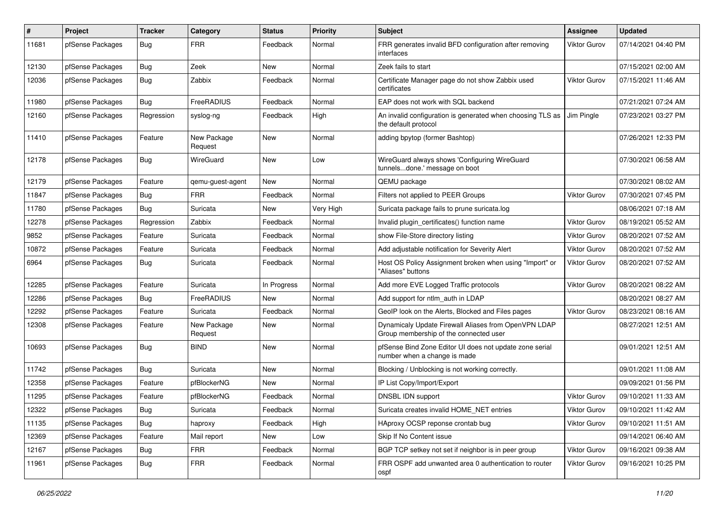| #     | Project          | <b>Tracker</b> | Category               | <b>Status</b> | <b>Priority</b> | <b>Subject</b>                                                                                 | <b>Assignee</b>     | <b>Updated</b>      |
|-------|------------------|----------------|------------------------|---------------|-----------------|------------------------------------------------------------------------------------------------|---------------------|---------------------|
| 11681 | pfSense Packages | <b>Bug</b>     | <b>FRR</b>             | Feedback      | Normal          | FRR generates invalid BFD configuration after removing<br>interfaces                           | Viktor Gurov        | 07/14/2021 04:40 PM |
| 12130 | pfSense Packages | Bug            | Zeek                   | New           | Normal          | Zeek fails to start                                                                            |                     | 07/15/2021 02:00 AM |
| 12036 | pfSense Packages | Bug            | Zabbix                 | Feedback      | Normal          | Certificate Manager page do not show Zabbix used<br>certificates                               | <b>Viktor Gurov</b> | 07/15/2021 11:46 AM |
| 11980 | pfSense Packages | Bug            | FreeRADIUS             | Feedback      | Normal          | EAP does not work with SQL backend                                                             |                     | 07/21/2021 07:24 AM |
| 12160 | pfSense Packages | Regression     | syslog-ng              | Feedback      | High            | An invalid configuration is generated when choosing TLS as<br>the default protocol             | Jim Pingle          | 07/23/2021 03:27 PM |
| 11410 | pfSense Packages | Feature        | New Package<br>Request | <b>New</b>    | Normal          | adding bpytop (former Bashtop)                                                                 |                     | 07/26/2021 12:33 PM |
| 12178 | pfSense Packages | Bug            | WireGuard              | <b>New</b>    | Low             | WireGuard always shows 'Configuring WireGuard<br>tunnelsdone.' message on boot                 |                     | 07/30/2021 06:58 AM |
| 12179 | pfSense Packages | Feature        | qemu-guest-agent       | New           | Normal          | QEMU package                                                                                   |                     | 07/30/2021 08:02 AM |
| 11847 | pfSense Packages | Bug            | <b>FRR</b>             | Feedback      | Normal          | Filters not applied to PEER Groups                                                             | <b>Viktor Gurov</b> | 07/30/2021 07:45 PM |
| 11780 | pfSense Packages | Bug            | Suricata               | New           | Very High       | Suricata package fails to prune suricata.log                                                   |                     | 08/06/2021 07:18 AM |
| 12278 | pfSense Packages | Regression     | Zabbix                 | Feedback      | Normal          | Invalid plugin certificates() function name                                                    | <b>Viktor Gurov</b> | 08/19/2021 05:52 AM |
| 9852  | pfSense Packages | Feature        | Suricata               | Feedback      | Normal          | show File-Store directory listing                                                              | <b>Viktor Gurov</b> | 08/20/2021 07:52 AM |
| 10872 | pfSense Packages | Feature        | Suricata               | Feedback      | Normal          | Add adjustable notification for Severity Alert                                                 | <b>Viktor Gurov</b> | 08/20/2021 07:52 AM |
| 6964  | pfSense Packages | Bug            | Suricata               | Feedback      | Normal          | Host OS Policy Assignment broken when using "Import" or<br>"Aliases" buttons                   | Viktor Gurov        | 08/20/2021 07:52 AM |
| 12285 | pfSense Packages | Feature        | Suricata               | In Progress   | Normal          | Add more EVE Logged Traffic protocols                                                          | <b>Viktor Gurov</b> | 08/20/2021 08:22 AM |
| 12286 | pfSense Packages | Bug            | FreeRADIUS             | New           | Normal          | Add support for ntlm auth in LDAP                                                              |                     | 08/20/2021 08:27 AM |
| 12292 | pfSense Packages | Feature        | Suricata               | Feedback      | Normal          | GeoIP look on the Alerts, Blocked and Files pages                                              | <b>Viktor Gurov</b> | 08/23/2021 08:16 AM |
| 12308 | pfSense Packages | Feature        | New Package<br>Request | New           | Normal          | Dynamicaly Update Firewall Aliases from OpenVPN LDAP<br>Group membership of the connected user |                     | 08/27/2021 12:51 AM |
| 10693 | pfSense Packages | Bug            | <b>BIND</b>            | <b>New</b>    | Normal          | pfSense Bind Zone Editor UI does not update zone serial<br>number when a change is made        |                     | 09/01/2021 12:51 AM |
| 11742 | pfSense Packages | Bug            | Suricata               | New           | Normal          | Blocking / Unblocking is not working correctly.                                                |                     | 09/01/2021 11:08 AM |
| 12358 | pfSense Packages | Feature        | pfBlockerNG            | New           | Normal          | IP List Copy/Import/Export                                                                     |                     | 09/09/2021 01:56 PM |
| 11295 | pfSense Packages | Feature        | pfBlockerNG            | Feedback      | Normal          | DNSBL IDN support                                                                              | Viktor Gurov        | 09/10/2021 11:33 AM |
| 12322 | pfSense Packages | Bug            | Suricata               | Feedback      | Normal          | Suricata creates invalid HOME_NET entries                                                      | Viktor Gurov        | 09/10/2021 11:42 AM |
| 11135 | pfSense Packages | Bug            | haproxy                | Feedback      | High            | HAproxy OCSP reponse crontab bug                                                               | <b>Viktor Gurov</b> | 09/10/2021 11:51 AM |
| 12369 | pfSense Packages | Feature        | Mail report            | New           | Low             | Skip If No Content issue                                                                       |                     | 09/14/2021 06:40 AM |
| 12167 | pfSense Packages | <b>Bug</b>     | <b>FRR</b>             | Feedback      | Normal          | BGP TCP setkey not set if neighbor is in peer group                                            | Viktor Gurov        | 09/16/2021 09:38 AM |
| 11961 | pfSense Packages | Bug            | FRR                    | Feedback      | Normal          | FRR OSPF add unwanted area 0 authentication to router<br>ospf                                  | Viktor Gurov        | 09/16/2021 10:25 PM |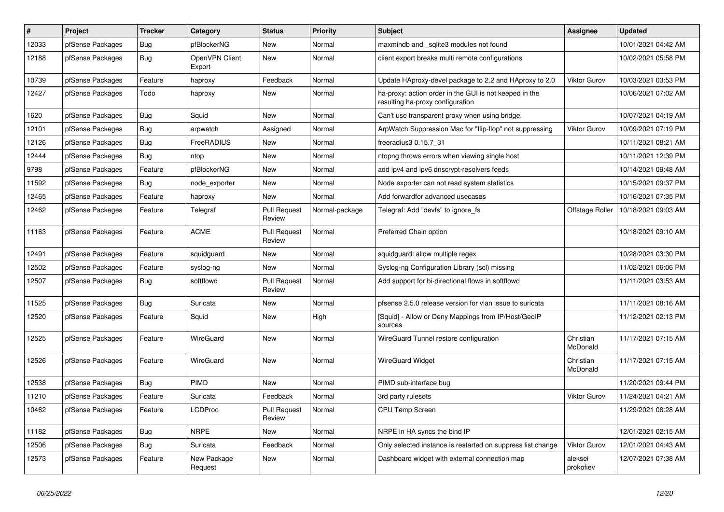| $\vert$ # | Project          | <b>Tracker</b> | Category                 | <b>Status</b>                 | <b>Priority</b> | <b>Subject</b>                                                                             | Assignee              | <b>Updated</b>      |
|-----------|------------------|----------------|--------------------------|-------------------------------|-----------------|--------------------------------------------------------------------------------------------|-----------------------|---------------------|
| 12033     | pfSense Packages | <b>Bug</b>     | pfBlockerNG              | <b>New</b>                    | Normal          | maxmindb and sqlite3 modules not found                                                     |                       | 10/01/2021 04:42 AM |
| 12188     | pfSense Packages | Bug            | OpenVPN Client<br>Export | <b>New</b>                    | Normal          | client export breaks multi remote configurations                                           |                       | 10/02/2021 05:58 PM |
| 10739     | pfSense Packages | Feature        | haproxy                  | Feedback                      | Normal          | Update HAproxy-devel package to 2.2 and HAproxy to 2.0                                     | <b>Viktor Gurov</b>   | 10/03/2021 03:53 PM |
| 12427     | pfSense Packages | Todo           | haproxy                  | New                           | Normal          | ha-proxy: action order in the GUI is not keeped in the<br>resulting ha-proxy configuration |                       | 10/06/2021 07:02 AM |
| 1620      | pfSense Packages | Bug            | Squid                    | <b>New</b>                    | Normal          | Can't use transparent proxy when using bridge.                                             |                       | 10/07/2021 04:19 AM |
| 12101     | pfSense Packages | Bug            | arpwatch                 | Assigned                      | Normal          | ArpWatch Suppression Mac for "flip-flop" not suppressing                                   | <b>Viktor Gurov</b>   | 10/09/2021 07:19 PM |
| 12126     | pfSense Packages | Bug            | FreeRADIUS               | <b>New</b>                    | Normal          | freeradius3 0.15.7 31                                                                      |                       | 10/11/2021 08:21 AM |
| 12444     | pfSense Packages | Bug            | ntop                     | <b>New</b>                    | Normal          | ntopng throws errors when viewing single host                                              |                       | 10/11/2021 12:39 PM |
| 9798      | pfSense Packages | Feature        | pfBlockerNG              | <b>New</b>                    | Normal          | add ipv4 and ipv6 dnscrypt-resolvers feeds                                                 |                       | 10/14/2021 09:48 AM |
| 11592     | pfSense Packages | <b>Bug</b>     | node exporter            | <b>New</b>                    | Normal          | Node exporter can not read system statistics                                               |                       | 10/15/2021 09:37 PM |
| 12465     | pfSense Packages | Feature        | haproxy                  | <b>New</b>                    | Normal          | Add forwardfor advanced usecases                                                           |                       | 10/16/2021 07:35 PM |
| 12462     | pfSense Packages | Feature        | Telegraf                 | <b>Pull Request</b><br>Review | Normal-package  | Telegraf: Add "devfs" to ignore fs                                                         | Offstage Roller       | 10/18/2021 09:03 AM |
| 11163     | pfSense Packages | Feature        | <b>ACME</b>              | <b>Pull Request</b><br>Review | Normal          | Preferred Chain option                                                                     |                       | 10/18/2021 09:10 AM |
| 12491     | pfSense Packages | Feature        | squidguard               | <b>New</b>                    | Normal          | squidguard: allow multiple regex                                                           |                       | 10/28/2021 03:30 PM |
| 12502     | pfSense Packages | Feature        | syslog-ng                | <b>New</b>                    | Normal          | Syslog-ng Configuration Library (scl) missing                                              |                       | 11/02/2021 06:06 PM |
| 12507     | pfSense Packages | <b>Bug</b>     | softflowd                | <b>Pull Request</b><br>Review | Normal          | Add support for bi-directional flows in softflowd                                          |                       | 11/11/2021 03:53 AM |
| 11525     | pfSense Packages | Bug            | Suricata                 | <b>New</b>                    | Normal          | pfsense 2.5.0 release version for vlan issue to suricata                                   |                       | 11/11/2021 08:16 AM |
| 12520     | pfSense Packages | Feature        | Squid                    | <b>New</b>                    | High            | [Squid] - Allow or Deny Mappings from IP/Host/GeoIP<br>sources                             |                       | 11/12/2021 02:13 PM |
| 12525     | pfSense Packages | Feature        | <b>WireGuard</b>         | <b>New</b>                    | Normal          | WireGuard Tunnel restore configuration                                                     | Christian<br>McDonald | 11/17/2021 07:15 AM |
| 12526     | pfSense Packages | Feature        | WireGuard                | <b>New</b>                    | Normal          | <b>WireGuard Widget</b>                                                                    | Christian<br>McDonald | 11/17/2021 07:15 AM |
| 12538     | pfSense Packages | Bug            | PIMD                     | <b>New</b>                    | Normal          | PIMD sub-interface bug                                                                     |                       | 11/20/2021 09:44 PM |
| 11210     | pfSense Packages | Feature        | Suricata                 | Feedback                      | Normal          | 3rd party rulesets                                                                         | <b>Viktor Gurov</b>   | 11/24/2021 04:21 AM |
| 10462     | pfSense Packages | Feature        | LCDProc                  | <b>Pull Request</b><br>Review | Normal          | <b>CPU Temp Screen</b>                                                                     |                       | 11/29/2021 08:28 AM |
| 11182     | pfSense Packages | <b>Bug</b>     | <b>NRPE</b>              | New                           | Normal          | NRPE in HA syncs the bind IP                                                               |                       | 12/01/2021 02:15 AM |
| 12506     | pfSense Packages | Bug            | Suricata                 | Feedback                      | Normal          | Only selected instance is restarted on suppress list change                                | Viktor Gurov          | 12/01/2021 04:43 AM |
| 12573     | pfSense Packages | Feature        | New Package<br>Request   | <b>New</b>                    | Normal          | Dashboard widget with external connection map                                              | aleksei<br>prokofiev  | 12/07/2021 07:38 AM |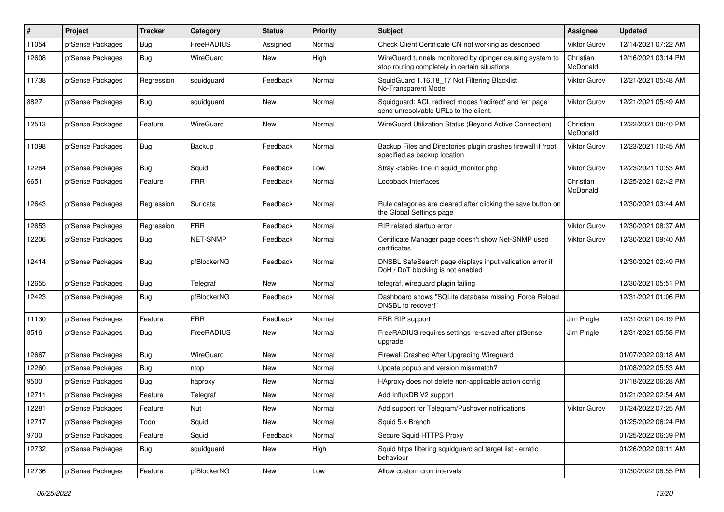| #     | Project          | Tracker    | Category    | <b>Status</b> | <b>Priority</b> | <b>Subject</b>                                                                                            | <b>Assignee</b>       | <b>Updated</b>      |
|-------|------------------|------------|-------------|---------------|-----------------|-----------------------------------------------------------------------------------------------------------|-----------------------|---------------------|
| 11054 | pfSense Packages | Bug        | FreeRADIUS  | Assigned      | Normal          | Check Client Certificate CN not working as described                                                      | Viktor Gurov          | 12/14/2021 07:22 AM |
| 12608 | pfSense Packages | <b>Bug</b> | WireGuard   | New           | High            | WireGuard tunnels monitored by dpinger causing system to<br>stop routing completely in certain situations | Christian<br>McDonald | 12/16/2021 03:14 PM |
| 11738 | pfSense Packages | Regression | squidguard  | Feedback      | Normal          | SquidGuard 1.16.18_17 Not Filtering Blacklist<br>No-Transparent Mode                                      | Viktor Gurov          | 12/21/2021 05:48 AM |
| 8827  | pfSense Packages | Bug        | squidguard  | New           | Normal          | Squidguard: ACL redirect modes 'redirect' and 'err page'<br>send unresolvable URLs to the client.         | Viktor Gurov          | 12/21/2021 05:49 AM |
| 12513 | pfSense Packages | Feature    | WireGuard   | <b>New</b>    | Normal          | WireGuard Utilization Status (Beyond Active Connection)                                                   | Christian<br>McDonald | 12/22/2021 08:40 PM |
| 11098 | pfSense Packages | Bug        | Backup      | Feedback      | Normal          | Backup Files and Directories plugin crashes firewall if /root<br>specified as backup location             | Viktor Gurov          | 12/23/2021 10:45 AM |
| 12264 | pfSense Packages | Bug        | Squid       | Feedback      | Low             | Stray <table> line in squid monitor.php</table>                                                           | Viktor Gurov          | 12/23/2021 10:53 AM |
| 6651  | pfSense Packages | Feature    | <b>FRR</b>  | Feedback      | Normal          | Loopback interfaces                                                                                       | Christian<br>McDonald | 12/25/2021 02:42 PM |
| 12643 | pfSense Packages | Regression | Suricata    | Feedback      | Normal          | Rule categories are cleared after clicking the save button on<br>the Global Settings page                 |                       | 12/30/2021 03:44 AM |
| 12653 | pfSense Packages | Regression | <b>FRR</b>  | Feedback      | Normal          | RIP related startup error                                                                                 | Viktor Gurov          | 12/30/2021 08:37 AM |
| 12206 | pfSense Packages | Bug        | NET-SNMP    | Feedback      | Normal          | Certificate Manager page doesn't show Net-SNMP used<br>certificates                                       | Viktor Gurov          | 12/30/2021 09:40 AM |
| 12414 | pfSense Packages | Bug        | pfBlockerNG | Feedback      | Normal          | DNSBL SafeSearch page displays input validation error if<br>DoH / DoT blocking is not enabled             |                       | 12/30/2021 02:49 PM |
| 12655 | pfSense Packages | Bug        | Telegraf    | New           | Normal          | telegraf, wireguard plugin failing                                                                        |                       | 12/30/2021 05:51 PM |
| 12423 | pfSense Packages | Bug        | pfBlockerNG | Feedback      | Normal          | Dashboard shows "SQLite database missing, Force Reload<br>DNSBL to recover!"                              |                       | 12/31/2021 01:06 PM |
| 11130 | pfSense Packages | Feature    | <b>FRR</b>  | Feedback      | Normal          | FRR RIP support                                                                                           | Jim Pingle            | 12/31/2021 04:19 PM |
| 8516  | pfSense Packages | Bug        | FreeRADIUS  | New           | Normal          | FreeRADIUS requires settings re-saved after pfSense<br>upgrade                                            | Jim Pingle            | 12/31/2021 05:58 PM |
| 12667 | pfSense Packages | Bug        | WireGuard   | New           | Normal          | Firewall Crashed After Upgrading Wireguard                                                                |                       | 01/07/2022 09:18 AM |
| 12260 | pfSense Packages | Bug        | ntop        | New           | Normal          | Update popup and version missmatch?                                                                       |                       | 01/08/2022 05:53 AM |
| 9500  | pfSense Packages | Bug        | haproxy     | New           | Normal          | HAproxy does not delete non-applicable action config                                                      |                       | 01/18/2022 06:28 AM |
| 12711 | pfSense Packages | Feature    | Telegraf    | New           | Normal          | Add InfluxDB V2 support                                                                                   |                       | 01/21/2022 02:54 AM |
| 12281 | pfSense Packages | Feature    | Nut         | New           | Normal          | Add support for Telegram/Pushover notifications                                                           | Viktor Gurov          | 01/24/2022 07:25 AM |
| 12717 | pfSense Packages | Todo       | Squid       | New           | Normal          | Squid 5.x Branch                                                                                          |                       | 01/25/2022 06:24 PM |
| 9700  | pfSense Packages | Feature    | Squid       | Feedback      | Normal          | Secure Squid HTTPS Proxy                                                                                  |                       | 01/25/2022 06:39 PM |
| 12732 | pfSense Packages | Bug        | squidguard  | New           | High            | Squid https filtering squidguard acl target list - erratic<br>behaviour                                   |                       | 01/26/2022 09:11 AM |
| 12736 | pfSense Packages | Feature    | pfBlockerNG | New           | Low             | Allow custom cron intervals                                                                               |                       | 01/30/2022 08:55 PM |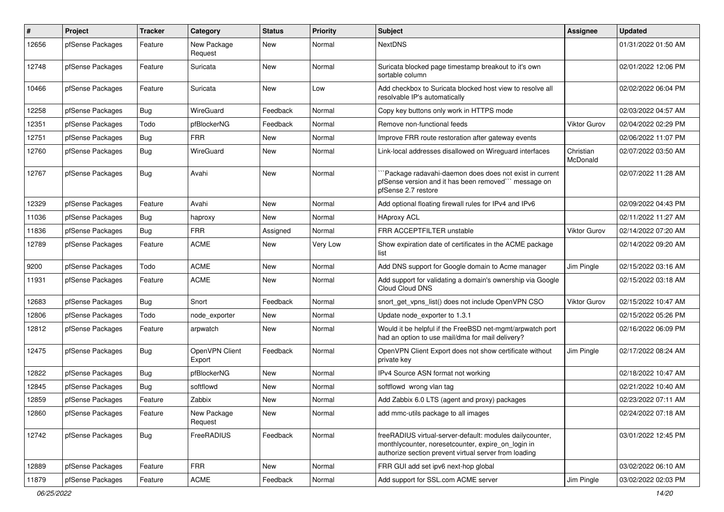| #     | Project          | Tracker | Category                 | <b>Status</b> | <b>Priority</b> | Subject                                                                                                                                                                 | <b>Assignee</b>       | <b>Updated</b>      |
|-------|------------------|---------|--------------------------|---------------|-----------------|-------------------------------------------------------------------------------------------------------------------------------------------------------------------------|-----------------------|---------------------|
| 12656 | pfSense Packages | Feature | New Package<br>Request   | New           | Normal          | <b>NextDNS</b>                                                                                                                                                          |                       | 01/31/2022 01:50 AM |
| 12748 | pfSense Packages | Feature | Suricata                 | New           | Normal          | Suricata blocked page timestamp breakout to it's own<br>sortable column                                                                                                 |                       | 02/01/2022 12:06 PM |
| 10466 | pfSense Packages | Feature | Suricata                 | <b>New</b>    | Low             | Add checkbox to Suricata blocked host view to resolve all<br>resolvable IP's automatically                                                                              |                       | 02/02/2022 06:04 PM |
| 12258 | pfSense Packages | Bug     | WireGuard                | Feedback      | Normal          | Copy key buttons only work in HTTPS mode                                                                                                                                |                       | 02/03/2022 04:57 AM |
| 12351 | pfSense Packages | Todo    | pfBlockerNG              | Feedback      | Normal          | Remove non-functional feeds                                                                                                                                             | <b>Viktor Gurov</b>   | 02/04/2022 02:29 PM |
| 12751 | pfSense Packages | Bug     | <b>FRR</b>               | New           | Normal          | Improve FRR route restoration after gateway events                                                                                                                      |                       | 02/06/2022 11:07 PM |
| 12760 | pfSense Packages | Bug     | WireGuard                | New           | Normal          | Link-local addresses disallowed on Wireguard interfaces                                                                                                                 | Christian<br>McDonald | 02/07/2022 03:50 AM |
| 12767 | pfSense Packages | Bug     | Avahi                    | New           | Normal          | `Package radavahi-daemon does does not exist in current<br>pfSense version and it has been removed" message on<br>pfSense 2.7 restore                                   |                       | 02/07/2022 11:28 AM |
| 12329 | pfSense Packages | Feature | Avahi                    | New           | Normal          | Add optional floating firewall rules for IPv4 and IPv6                                                                                                                  |                       | 02/09/2022 04:43 PM |
| 11036 | pfSense Packages | Bug     | haproxy                  | <b>New</b>    | Normal          | <b>HAproxy ACL</b>                                                                                                                                                      |                       | 02/11/2022 11:27 AM |
| 11836 | pfSense Packages | Bug     | <b>FRR</b>               | Assigned      | Normal          | FRR ACCEPTFILTER unstable                                                                                                                                               | <b>Viktor Gurov</b>   | 02/14/2022 07:20 AM |
| 12789 | pfSense Packages | Feature | <b>ACME</b>              | New           | Very Low        | Show expiration date of certificates in the ACME package<br>list                                                                                                        |                       | 02/14/2022 09:20 AM |
| 9200  | pfSense Packages | Todo    | <b>ACME</b>              | New           | Normal          | Add DNS support for Google domain to Acme manager                                                                                                                       | Jim Pingle            | 02/15/2022 03:16 AM |
| 11931 | pfSense Packages | Feature | <b>ACME</b>              | New           | Normal          | Add support for validating a domain's ownership via Google<br>Cloud Cloud DNS                                                                                           |                       | 02/15/2022 03:18 AM |
| 12683 | pfSense Packages | Bug     | Snort                    | Feedback      | Normal          | snort get vpns list() does not include OpenVPN CSO                                                                                                                      | Viktor Gurov          | 02/15/2022 10:47 AM |
| 12806 | pfSense Packages | Todo    | node exporter            | <b>New</b>    | Normal          | Update node_exporter to 1.3.1                                                                                                                                           |                       | 02/15/2022 05:26 PM |
| 12812 | pfSense Packages | Feature | arpwatch                 | New           | Normal          | Would it be helpful if the FreeBSD net-mgmt/arpwatch port<br>had an option to use mail/dma for mail delivery?                                                           |                       | 02/16/2022 06:09 PM |
| 12475 | pfSense Packages | Bug     | OpenVPN Client<br>Export | Feedback      | Normal          | OpenVPN Client Export does not show certificate without<br>private key                                                                                                  | Jim Pingle            | 02/17/2022 08:24 AM |
| 12822 | pfSense Packages | Bug     | pfBlockerNG              | <b>New</b>    | Normal          | IPv4 Source ASN format not working                                                                                                                                      |                       | 02/18/2022 10:47 AM |
| 12845 | pfSense Packages | Bug     | softflowd                | New           | Normal          | softflowd wrong vlan tag                                                                                                                                                |                       | 02/21/2022 10:40 AM |
| 12859 | pfSense Packages | Feature | Zabbix                   | New           | Normal          | Add Zabbix 6.0 LTS (agent and proxy) packages                                                                                                                           |                       | 02/23/2022 07:11 AM |
| 12860 | pfSense Packages | Feature | New Package<br>Request   | New           | Normal          | add mmc-utils package to all images                                                                                                                                     |                       | 02/24/2022 07:18 AM |
| 12742 | pfSense Packages | Bug     | FreeRADIUS               | Feedback      | Normal          | freeRADIUS virtual-server-default: modules dailycounter,<br>monthlycounter, noresetcounter, expire_on_login in<br>authorize section prevent virtual server from loading |                       | 03/01/2022 12:45 PM |
| 12889 | pfSense Packages | Feature | <b>FRR</b>               | New           | Normal          | FRR GUI add set ipv6 next-hop global                                                                                                                                    |                       | 03/02/2022 06:10 AM |
| 11879 | pfSense Packages | Feature | ACME                     | Feedback      | Normal          | Add support for SSL.com ACME server                                                                                                                                     | Jim Pingle            | 03/02/2022 02:03 PM |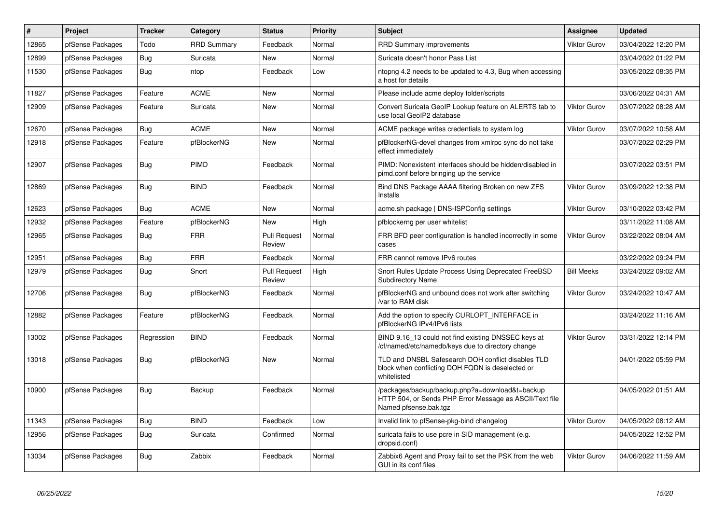| $\vert$ # | Project          | <b>Tracker</b> | Category           | <b>Status</b>                 | <b>Priority</b> | <b>Subject</b>                                                                                                                      | Assignee            | <b>Updated</b>      |
|-----------|------------------|----------------|--------------------|-------------------------------|-----------------|-------------------------------------------------------------------------------------------------------------------------------------|---------------------|---------------------|
| 12865     | pfSense Packages | Todo           | <b>RRD Summary</b> | Feedback                      | Normal          | <b>RRD Summary improvements</b>                                                                                                     | <b>Viktor Gurov</b> | 03/04/2022 12:20 PM |
| 12899     | pfSense Packages | <b>Bug</b>     | Suricata           | New                           | Normal          | Suricata doesn't honor Pass List                                                                                                    |                     | 03/04/2022 01:22 PM |
| 11530     | pfSense Packages | <b>Bug</b>     | ntop               | Feedback                      | Low             | ntopng 4.2 needs to be updated to 4.3, Bug when accessing<br>a host for details                                                     |                     | 03/05/2022 08:35 PM |
| 11827     | pfSense Packages | Feature        | <b>ACME</b>        | New                           | Normal          | Please include acme deploy folder/scripts                                                                                           |                     | 03/06/2022 04:31 AM |
| 12909     | pfSense Packages | Feature        | Suricata           | New                           | Normal          | Convert Suricata GeoIP Lookup feature on ALERTS tab to<br>use local GeoIP2 database                                                 | Viktor Gurov        | 03/07/2022 08:28 AM |
| 12670     | pfSense Packages | <b>Bug</b>     | <b>ACME</b>        | <b>New</b>                    | Normal          | ACME package writes credentials to system log                                                                                       | Viktor Gurov        | 03/07/2022 10:58 AM |
| 12918     | pfSense Packages | Feature        | pfBlockerNG        | <b>New</b>                    | Normal          | pfBlockerNG-devel changes from xmlrpc sync do not take<br>effect immediately                                                        |                     | 03/07/2022 02:29 PM |
| 12907     | pfSense Packages | Bug            | PIMD               | Feedback                      | Normal          | PIMD: Nonexistent interfaces should be hidden/disabled in<br>pimd.conf before bringing up the service                               |                     | 03/07/2022 03:51 PM |
| 12869     | pfSense Packages | Bug            | <b>BIND</b>        | Feedback                      | Normal          | Bind DNS Package AAAA filtering Broken on new ZFS<br>Installs                                                                       | <b>Viktor Gurov</b> | 03/09/2022 12:38 PM |
| 12623     | pfSense Packages | Bug            | <b>ACME</b>        | <b>New</b>                    | Normal          | acme.sh package   DNS-ISPConfig settings                                                                                            | <b>Viktor Gurov</b> | 03/10/2022 03:42 PM |
| 12932     | pfSense Packages | Feature        | pfBlockerNG        | New                           | High            | pfblockerng per user whitelist                                                                                                      |                     | 03/11/2022 11:08 AM |
| 12965     | pfSense Packages | <b>Bug</b>     | <b>FRR</b>         | <b>Pull Request</b><br>Review | Normal          | FRR BFD peer configuration is handled incorrectly in some<br>cases                                                                  | <b>Viktor Gurov</b> | 03/22/2022 08:04 AM |
| 12951     | pfSense Packages | <b>Bug</b>     | <b>FRR</b>         | Feedback                      | Normal          | FRR cannot remove IPv6 routes                                                                                                       |                     | 03/22/2022 09:24 PM |
| 12979     | pfSense Packages | Bug            | Snort              | <b>Pull Request</b><br>Review | High            | Snort Rules Update Process Using Deprecated FreeBSD<br><b>Subdirectory Name</b>                                                     | <b>Bill Meeks</b>   | 03/24/2022 09:02 AM |
| 12706     | pfSense Packages | Bug            | pfBlockerNG        | Feedback                      | Normal          | pfBlockerNG and unbound does not work after switching<br>/var to RAM disk                                                           | <b>Viktor Gurov</b> | 03/24/2022 10:47 AM |
| 12882     | pfSense Packages | Feature        | pfBlockerNG        | Feedback                      | Normal          | Add the option to specify CURLOPT INTERFACE in<br>pfBlockerNG IPv4/IPv6 lists                                                       |                     | 03/24/2022 11:16 AM |
| 13002     | pfSense Packages | Regression     | <b>BIND</b>        | Feedback                      | Normal          | BIND 9.16 13 could not find existing DNSSEC keys at<br>/cf/named/etc/namedb/keys due to directory change                            | <b>Viktor Gurov</b> | 03/31/2022 12:14 PM |
| 13018     | pfSense Packages | <b>Bug</b>     | pfBlockerNG        | <b>New</b>                    | Normal          | TLD and DNSBL Safesearch DOH conflict disables TLD<br>block when conflicting DOH FQDN is deselected or<br>whitelisted               |                     | 04/01/2022 05:59 PM |
| 10900     | pfSense Packages | Bug            | Backup             | Feedback                      | Normal          | /packages/backup/backup.php?a=download&t=backup<br>HTTP 504, or Sends PHP Error Message as ASCII/Text file<br>Named pfsense.bak.tgz |                     | 04/05/2022 01:51 AM |
| 11343     | pfSense Packages | Bug            | <b>BIND</b>        | Feedback                      | Low             | Invalid link to pfSense-pkg-bind changelog                                                                                          | <b>Viktor Gurov</b> | 04/05/2022 08:12 AM |
| 12956     | pfSense Packages | <b>Bug</b>     | Suricata           | Confirmed                     | Normal          | suricata fails to use pcre in SID management (e.g.<br>dropsid.conf)                                                                 |                     | 04/05/2022 12:52 PM |
| 13034     | pfSense Packages | Bug            | Zabbix             | Feedback                      | Normal          | Zabbix6 Agent and Proxy fail to set the PSK from the web<br>GUI in its conf files                                                   | <b>Viktor Gurov</b> | 04/06/2022 11:59 AM |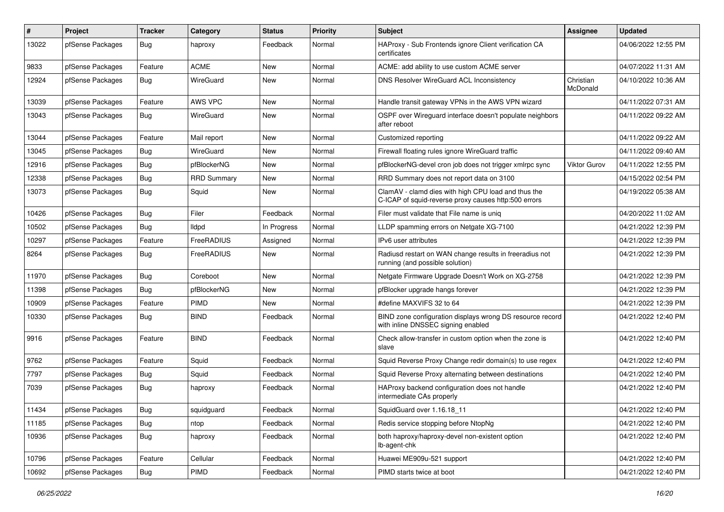| $\pmb{\#}$ | Project          | <b>Tracker</b> | Category           | <b>Status</b> | <b>Priority</b> | <b>Subject</b>                                                                                              | <b>Assignee</b>       | <b>Updated</b>      |
|------------|------------------|----------------|--------------------|---------------|-----------------|-------------------------------------------------------------------------------------------------------------|-----------------------|---------------------|
| 13022      | pfSense Packages | <b>Bug</b>     | haproxy            | Feedback      | Normal          | HAProxy - Sub Frontends ignore Client verification CA<br>certificates                                       |                       | 04/06/2022 12:55 PM |
| 9833       | pfSense Packages | Feature        | <b>ACME</b>        | New           | Normal          | ACME: add ability to use custom ACME server                                                                 |                       | 04/07/2022 11:31 AM |
| 12924      | pfSense Packages | Bug            | WireGuard          | New           | Normal          | DNS Resolver WireGuard ACL Inconsistency                                                                    | Christian<br>McDonald | 04/10/2022 10:36 AM |
| 13039      | pfSense Packages | Feature        | AWS VPC            | New           | Normal          | Handle transit gateway VPNs in the AWS VPN wizard                                                           |                       | 04/11/2022 07:31 AM |
| 13043      | pfSense Packages | <b>Bug</b>     | WireGuard          | New           | Normal          | OSPF over Wireguard interface doesn't populate neighbors<br>after reboot                                    |                       | 04/11/2022 09:22 AM |
| 13044      | pfSense Packages | Feature        | Mail report        | New           | Normal          | Customized reporting                                                                                        |                       | 04/11/2022 09:22 AM |
| 13045      | pfSense Packages | Bug            | WireGuard          | New           | Normal          | Firewall floating rules ignore WireGuard traffic                                                            |                       | 04/11/2022 09:40 AM |
| 12916      | pfSense Packages | Bug            | pfBlockerNG        | New           | Normal          | pfBlockerNG-devel cron job does not trigger xmlrpc sync                                                     | Viktor Gurov          | 04/11/2022 12:55 PM |
| 12338      | pfSense Packages | Bug            | <b>RRD Summary</b> | New           | Normal          | RRD Summary does not report data on 3100                                                                    |                       | 04/15/2022 02:54 PM |
| 13073      | pfSense Packages | <b>Bug</b>     | Squid              | <b>New</b>    | Normal          | ClamAV - clamd dies with high CPU load and thus the<br>C-ICAP of squid-reverse proxy causes http:500 errors |                       | 04/19/2022 05:38 AM |
| 10426      | pfSense Packages | Bug            | Filer              | Feedback      | Normal          | Filer must validate that File name is uniq                                                                  |                       | 04/20/2022 11:02 AM |
| 10502      | pfSense Packages | Bug            | <b>Ildpd</b>       | In Progress   | Normal          | LLDP spamming errors on Netgate XG-7100                                                                     |                       | 04/21/2022 12:39 PM |
| 10297      | pfSense Packages | Feature        | FreeRADIUS         | Assigned      | Normal          | IPv6 user attributes                                                                                        |                       | 04/21/2022 12:39 PM |
| 8264       | pfSense Packages | <b>Bug</b>     | FreeRADIUS         | <b>New</b>    | Normal          | Radiusd restart on WAN change results in freeradius not<br>running (and possible solution)                  |                       | 04/21/2022 12:39 PM |
| 11970      | pfSense Packages | Bug            | Coreboot           | <b>New</b>    | Normal          | Netgate Firmware Upgrade Doesn't Work on XG-2758                                                            |                       | 04/21/2022 12:39 PM |
| 11398      | pfSense Packages | <b>Bug</b>     | pfBlockerNG        | New           | Normal          | pfBlocker upgrade hangs forever                                                                             |                       | 04/21/2022 12:39 PM |
| 10909      | pfSense Packages | Feature        | PIMD               | New           | Normal          | #define MAXVIFS 32 to 64                                                                                    |                       | 04/21/2022 12:39 PM |
| 10330      | pfSense Packages | <b>Bug</b>     | <b>BIND</b>        | Feedback      | Normal          | BIND zone configuration displays wrong DS resource record<br>with inline DNSSEC signing enabled             |                       | 04/21/2022 12:40 PM |
| 9916       | pfSense Packages | Feature        | <b>BIND</b>        | Feedback      | Normal          | Check allow-transfer in custom option when the zone is<br>slave                                             |                       | 04/21/2022 12:40 PM |
| 9762       | pfSense Packages | Feature        | Squid              | Feedback      | Normal          | Squid Reverse Proxy Change redir domain(s) to use regex                                                     |                       | 04/21/2022 12:40 PM |
| 7797       | pfSense Packages | Bug            | Squid              | Feedback      | Normal          | Squid Reverse Proxy alternating between destinations                                                        |                       | 04/21/2022 12:40 PM |
| 7039       | pfSense Packages | <b>Bug</b>     | haproxy            | Feedback      | Normal          | HAProxy backend configuration does not handle<br>intermediate CAs properly                                  |                       | 04/21/2022 12:40 PM |
| 11434      | pfSense Packages | Bug            | squidguard         | Feedback      | Normal          | SquidGuard over 1.16.18_11                                                                                  |                       | 04/21/2022 12:40 PM |
| 11185      | pfSense Packages | <b>Bug</b>     | ntop               | Feedback      | Normal          | Redis service stopping before NtopNg                                                                        |                       | 04/21/2022 12:40 PM |
| 10936      | pfSense Packages | <b>Bug</b>     | haproxy            | Feedback      | Normal          | both haproxy/haproxy-devel non-existent option<br>lb-agent-chk                                              |                       | 04/21/2022 12:40 PM |
| 10796      | pfSense Packages | Feature        | Cellular           | Feedback      | Normal          | Huawei ME909u-521 support                                                                                   |                       | 04/21/2022 12:40 PM |
| 10692      | pfSense Packages | <b>Bug</b>     | PIMD               | Feedback      | Normal          | PIMD starts twice at boot                                                                                   |                       | 04/21/2022 12:40 PM |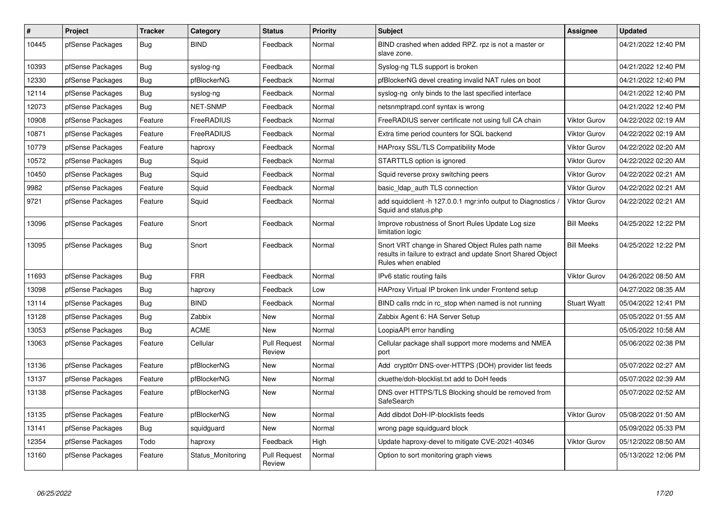| $\#$  | <b>Project</b>   | <b>Tracker</b> | Category          | <b>Status</b>                 | Priority | <b>Subject</b>                                                                                                                          | Assignee            | <b>Updated</b>      |
|-------|------------------|----------------|-------------------|-------------------------------|----------|-----------------------------------------------------------------------------------------------------------------------------------------|---------------------|---------------------|
| 10445 | pfSense Packages | Bug            | <b>BIND</b>       | Feedback                      | Normal   | BIND crashed when added RPZ. rpz is not a master or<br>slave zone.                                                                      |                     | 04/21/2022 12:40 PM |
| 10393 | pfSense Packages | <b>Bug</b>     | syslog-ng         | Feedback                      | Normal   | Syslog-ng TLS support is broken                                                                                                         |                     | 04/21/2022 12:40 PM |
| 12330 | pfSense Packages | Bug            | pfBlockerNG       | Feedback                      | Normal   | pfBlockerNG devel creating invalid NAT rules on boot                                                                                    |                     | 04/21/2022 12:40 PM |
| 12114 | pfSense Packages | <b>Bug</b>     | syslog-ng         | Feedback                      | Normal   | syslog-ng only binds to the last specified interface                                                                                    |                     | 04/21/2022 12:40 PM |
| 12073 | pfSense Packages | Bug            | <b>NET-SNMP</b>   | Feedback                      | Normal   | netsnmptrapd.conf syntax is wrong                                                                                                       |                     | 04/21/2022 12:40 PM |
| 10908 | pfSense Packages | Feature        | FreeRADIUS        | Feedback                      | Normal   | FreeRADIUS server certificate not using full CA chain                                                                                   | <b>Viktor Gurov</b> | 04/22/2022 02:19 AM |
| 10871 | pfSense Packages | Feature        | FreeRADIUS        | Feedback                      | Normal   | Extra time period counters for SQL backend                                                                                              | <b>Viktor Gurov</b> | 04/22/2022 02:19 AM |
| 10779 | pfSense Packages | Feature        | haproxy           | Feedback                      | Normal   | <b>HAProxy SSL/TLS Compatibility Mode</b>                                                                                               | <b>Viktor Gurov</b> | 04/22/2022 02:20 AM |
| 10572 | pfSense Packages | Bug            | Squid             | Feedback                      | Normal   | STARTTLS option is ignored                                                                                                              | <b>Viktor Gurov</b> | 04/22/2022 02:20 AM |
| 10450 | pfSense Packages | Bug            | Squid             | Feedback                      | Normal   | Squid reverse proxy switching peers                                                                                                     | <b>Viktor Gurov</b> | 04/22/2022 02:21 AM |
| 9982  | pfSense Packages | Feature        | Squid             | Feedback                      | Normal   | basic Idap auth TLS connection                                                                                                          | <b>Viktor Gurov</b> | 04/22/2022 02:21 AM |
| 9721  | pfSense Packages | Feature        | Squid             | Feedback                      | Normal   | add squidclient -h 127.0.0.1 mgr:info output to Diagnostics /<br>Squid and status.php                                                   | Viktor Gurov        | 04/22/2022 02:21 AM |
| 13096 | pfSense Packages | Feature        | Snort             | Feedback                      | Normal   | Improve robustness of Snort Rules Update Log size<br>limitation logic                                                                   | <b>Bill Meeks</b>   | 04/25/2022 12:22 PM |
| 13095 | pfSense Packages | <b>Bug</b>     | Snort             | Feedback                      | Normal   | Snort VRT change in Shared Object Rules path name<br>results in failure to extract and update Snort Shared Object<br>Rules when enabled | <b>Bill Meeks</b>   | 04/25/2022 12:22 PM |
| 11693 | pfSense Packages | Bug            | <b>FRR</b>        | Feedback                      | Normal   | IPv6 static routing fails                                                                                                               | <b>Viktor Gurov</b> | 04/26/2022 08:50 AM |
| 13098 | pfSense Packages | Bug            | haproxy           | Feedback                      | Low      | HAProxy Virtual IP broken link under Frontend setup                                                                                     |                     | 04/27/2022 08:35 AM |
| 13114 | pfSense Packages | <b>Bug</b>     | <b>BIND</b>       | Feedback                      | Normal   | BIND calls rndc in rc stop when named is not running                                                                                    | <b>Stuart Wyatt</b> | 05/04/2022 12:41 PM |
| 13128 | pfSense Packages | <b>Bug</b>     | Zabbix            | New                           | Normal   | Zabbix Agent 6: HA Server Setup                                                                                                         |                     | 05/05/2022 01:55 AM |
| 13053 | pfSense Packages | Bug            | <b>ACME</b>       | <b>New</b>                    | Normal   | LoopiaAPI error handling                                                                                                                |                     | 05/05/2022 10:58 AM |
| 13063 | pfSense Packages | Feature        | Cellular          | <b>Pull Request</b><br>Review | Normal   | Cellular package shall support more modems and NMEA<br>port                                                                             |                     | 05/06/2022 02:38 PM |
| 13136 | pfSense Packages | Feature        | pfBlockerNG       | <b>New</b>                    | Normal   | Add crypt0rr DNS-over-HTTPS (DOH) provider list feeds                                                                                   |                     | 05/07/2022 02:27 AM |
| 13137 | pfSense Packages | Feature        | pfBlockerNG       | <b>New</b>                    | Normal   | ckuethe/doh-blocklist.txt add to DoH feeds                                                                                              |                     | 05/07/2022 02:39 AM |
| 13138 | pfSense Packages | Feature        | pfBlockerNG       | <b>New</b>                    | Normal   | DNS over HTTPS/TLS Blocking should be removed from<br>SafeSearch                                                                        |                     | 05/07/2022 02:52 AM |
| 13135 | pfSense Packages | Feature        | pfBlockerNG       | <b>New</b>                    | Normal   | Add dibdot DoH-IP-blocklists feeds                                                                                                      | <b>Viktor Gurov</b> | 05/08/2022 01:50 AM |
| 13141 | pfSense Packages | Bug            | squidguard        | New                           | Normal   | wrong page squidguard block                                                                                                             |                     | 05/09/2022 05:33 PM |
| 12354 | pfSense Packages | Todo           | haproxy           | Feedback                      | High     | Update haproxy-devel to mitigate CVE-2021-40346                                                                                         | <b>Viktor Gurov</b> | 05/12/2022 08:50 AM |
| 13160 | pfSense Packages | Feature        | Status Monitoring | <b>Pull Request</b><br>Review | Normal   | Option to sort monitoring graph views                                                                                                   |                     | 05/13/2022 12:06 PM |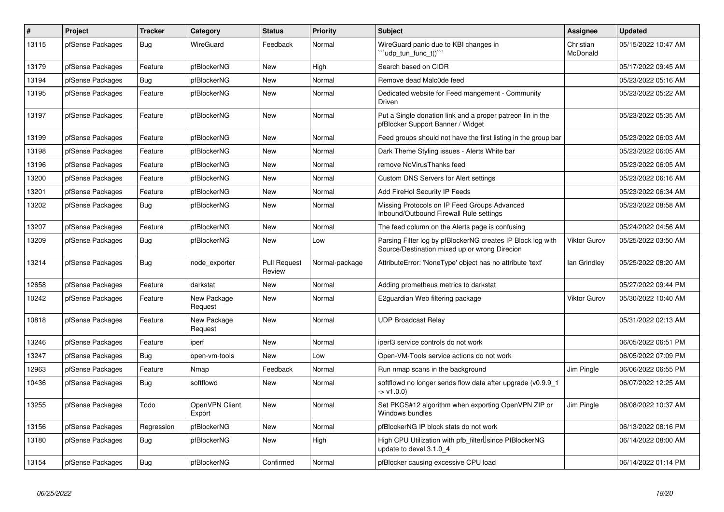| $\#$  | <b>Project</b>   | <b>Tracker</b> | Category                 | <b>Status</b>                 | <b>Priority</b> | <b>Subject</b>                                                                                               | Assignee              | <b>Updated</b>      |
|-------|------------------|----------------|--------------------------|-------------------------------|-----------------|--------------------------------------------------------------------------------------------------------------|-----------------------|---------------------|
| 13115 | pfSense Packages | Bug            | WireGuard                | Feedback                      | Normal          | WireGuard panic due to KBI changes in<br>'udp tun func $t()$ '                                               | Christian<br>McDonald | 05/15/2022 10:47 AM |
| 13179 | pfSense Packages | Feature        | pfBlockerNG              | New                           | High            | Search based on CIDR                                                                                         |                       | 05/17/2022 09:45 AM |
| 13194 | pfSense Packages | Bug            | pfBlockerNG              | <b>New</b>                    | Normal          | Remove dead Malc0de feed                                                                                     |                       | 05/23/2022 05:16 AM |
| 13195 | pfSense Packages | Feature        | pfBlockerNG              | New                           | Normal          | Dedicated website for Feed mangement - Community<br>Driven                                                   |                       | 05/23/2022 05:22 AM |
| 13197 | pfSense Packages | Feature        | pfBlockerNG              | New                           | Normal          | Put a Single donation link and a proper patreon lin in the<br>pfBlocker Support Banner / Widget              |                       | 05/23/2022 05:35 AM |
| 13199 | pfSense Packages | Feature        | pfBlockerNG              | <b>New</b>                    | Normal          | Feed groups should not have the first listing in the group bar                                               |                       | 05/23/2022 06:03 AM |
| 13198 | pfSense Packages | Feature        | pfBlockerNG              | New                           | Normal          | Dark Theme Styling issues - Alerts White bar                                                                 |                       | 05/23/2022 06:05 AM |
| 13196 | pfSense Packages | Feature        | pfBlockerNG              | New                           | Normal          | remove NoVirusThanks feed                                                                                    |                       | 05/23/2022 06:05 AM |
| 13200 | pfSense Packages | Feature        | pfBlockerNG              | New                           | Normal          | Custom DNS Servers for Alert settings                                                                        |                       | 05/23/2022 06:16 AM |
| 13201 | pfSense Packages | Feature        | pfBlockerNG              | New                           | Normal          | Add FireHol Security IP Feeds                                                                                |                       | 05/23/2022 06:34 AM |
| 13202 | pfSense Packages | <b>Bug</b>     | pfBlockerNG              | New                           | Normal          | Missing Protocols on IP Feed Groups Advanced<br>Inbound/Outbound Firewall Rule settings                      |                       | 05/23/2022 08:58 AM |
| 13207 | pfSense Packages | Feature        | pfBlockerNG              | New                           | Normal          | The feed column on the Alerts page is confusing                                                              |                       | 05/24/2022 04:56 AM |
| 13209 | pfSense Packages | <b>Bug</b>     | pfBlockerNG              | <b>New</b>                    | Low             | Parsing Filter log by pfBlockerNG creates IP Block log with<br>Source/Destination mixed up or wrong Direcion | <b>Viktor Gurov</b>   | 05/25/2022 03:50 AM |
| 13214 | pfSense Packages | <b>Bug</b>     | node exporter            | <b>Pull Request</b><br>Review | Normal-package  | AttributeError: 'NoneType' object has no attribute 'text'                                                    | lan Grindley          | 05/25/2022 08:20 AM |
| 12658 | pfSense Packages | Feature        | darkstat                 | <b>New</b>                    | Normal          | Adding prometheus metrics to darkstat                                                                        |                       | 05/27/2022 09:44 PM |
| 10242 | pfSense Packages | Feature        | New Package<br>Request   | <b>New</b>                    | Normal          | E2guardian Web filtering package                                                                             | <b>Viktor Gurov</b>   | 05/30/2022 10:40 AM |
| 10818 | pfSense Packages | Feature        | New Package<br>Request   | <b>New</b>                    | Normal          | <b>UDP Broadcast Relay</b>                                                                                   |                       | 05/31/2022 02:13 AM |
| 13246 | pfSense Packages | Feature        | iperf                    | New                           | Normal          | iperf3 service controls do not work                                                                          |                       | 06/05/2022 06:51 PM |
| 13247 | pfSense Packages | <b>Bug</b>     | open-vm-tools            | <b>New</b>                    | Low             | Open-VM-Tools service actions do not work                                                                    |                       | 06/05/2022 07:09 PM |
| 12963 | pfSense Packages | Feature        | Nmap                     | Feedback                      | Normal          | Run nmap scans in the background                                                                             | Jim Pingle            | 06/06/2022 06:55 PM |
| 10436 | pfSense Packages | <b>Bug</b>     | softflowd                | <b>New</b>                    | Normal          | softflowd no longer sends flow data after upgrade (v0.9.9 1<br>$\rightarrow$ v1.0.0)                         |                       | 06/07/2022 12:25 AM |
| 13255 | pfSense Packages | Todo           | OpenVPN Client<br>Export | New                           | Normal          | Set PKCS#12 algorithm when exporting OpenVPN ZIP or<br>Windows bundles                                       | Jim Pingle            | 06/08/2022 10:37 AM |
| 13156 | pfSense Packages | Regression     | pfBlockerNG              | New                           | Normal          | pfBlockerNG IP block stats do not work                                                                       |                       | 06/13/2022 08:16 PM |
| 13180 | pfSense Packages | <b>Bug</b>     | pfBlockerNG              | <b>New</b>                    | High            | High CPU Utilization with pfb_filterUsince PfBlockerNG<br>update to devel 3.1.0 4                            |                       | 06/14/2022 08:00 AM |
| 13154 | pfSense Packages | Bug            | pfBlockerNG              | Confirmed                     | Normal          | pfBlocker causing excessive CPU load                                                                         |                       | 06/14/2022 01:14 PM |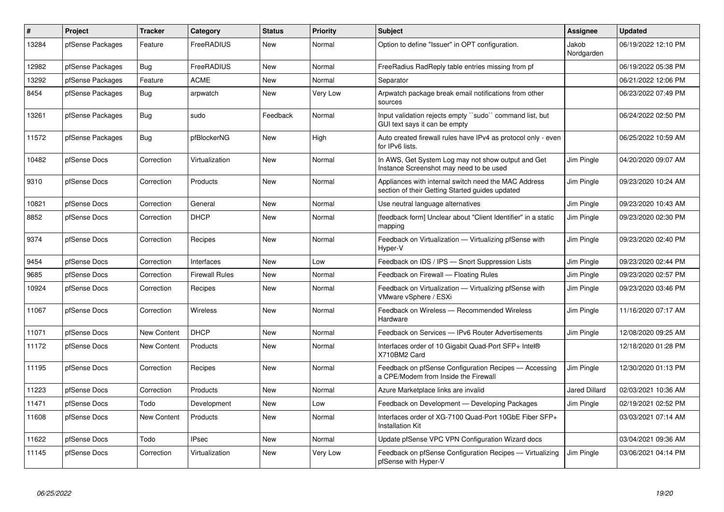| #     | <b>Project</b>   | <b>Tracker</b>     | Category              | <b>Status</b> | Priority | <b>Subject</b>                                                                                          | <b>Assignee</b>     | <b>Updated</b>      |
|-------|------------------|--------------------|-----------------------|---------------|----------|---------------------------------------------------------------------------------------------------------|---------------------|---------------------|
| 13284 | pfSense Packages | Feature            | FreeRADIUS            | <b>New</b>    | Normal   | Option to define "Issuer" in OPT configuration.                                                         | Jakob<br>Nordgarden | 06/19/2022 12:10 PM |
| 12982 | pfSense Packages | Bug                | FreeRADIUS            | <b>New</b>    | Normal   | FreeRadius RadReply table entries missing from pf                                                       |                     | 06/19/2022 05:38 PM |
| 13292 | pfSense Packages | Feature            | <b>ACME</b>           | <b>New</b>    | Normal   | Separator                                                                                               |                     | 06/21/2022 12:06 PM |
| 8454  | pfSense Packages | <b>Bug</b>         | arpwatch              | <b>New</b>    | Very Low | Arpwatch package break email notifications from other<br>sources                                        |                     | 06/23/2022 07:49 PM |
| 13261 | pfSense Packages | <b>Bug</b>         | sudo                  | Feedback      | Normal   | Input validation rejects empty "sudo" command list, but<br>GUI text says it can be empty                |                     | 06/24/2022 02:50 PM |
| 11572 | pfSense Packages | Bug                | pfBlockerNG           | <b>New</b>    | High     | Auto created firewall rules have IPv4 as protocol only - even<br>for IPv6 lists.                        |                     | 06/25/2022 10:59 AM |
| 10482 | pfSense Docs     | Correction         | Virtualization        | New           | Normal   | In AWS, Get System Log may not show output and Get<br>Instance Screenshot may need to be used           | Jim Pingle          | 04/20/2020 09:07 AM |
| 9310  | pfSense Docs     | Correction         | Products              | New           | Normal   | Appliances with internal switch need the MAC Address<br>section of their Getting Started guides updated | Jim Pingle          | 09/23/2020 10:24 AM |
| 10821 | pfSense Docs     | Correction         | General               | New           | Normal   | Use neutral language alternatives                                                                       | Jim Pingle          | 09/23/2020 10:43 AM |
| 8852  | pfSense Docs     | Correction         | <b>DHCP</b>           | <b>New</b>    | Normal   | [feedback form] Unclear about "Client Identifier" in a static<br>mapping                                | Jim Pingle          | 09/23/2020 02:30 PM |
| 9374  | pfSense Docs     | Correction         | Recipes               | <b>New</b>    | Normal   | Feedback on Virtualization - Virtualizing pfSense with<br>Hyper-V                                       | Jim Pingle          | 09/23/2020 02:40 PM |
| 9454  | pfSense Docs     | Correction         | Interfaces            | New           | Low      | Feedback on IDS / IPS - Snort Suppression Lists                                                         | Jim Pingle          | 09/23/2020 02:44 PM |
| 9685  | pfSense Docs     | Correction         | <b>Firewall Rules</b> | New           | Normal   | Feedback on Firewall - Floating Rules                                                                   | Jim Pingle          | 09/23/2020 02:57 PM |
| 10924 | pfSense Docs     | Correction         | Recipes               | New           | Normal   | Feedback on Virtualization - Virtualizing pfSense with<br>VMware vSphere / ESXi                         | Jim Pingle          | 09/23/2020 03:46 PM |
| 11067 | pfSense Docs     | Correction         | <b>Wireless</b>       | <b>New</b>    | Normal   | Feedback on Wireless - Recommended Wireless<br>Hardware                                                 | Jim Pingle          | 11/16/2020 07:17 AM |
| 11071 | pfSense Docs     | <b>New Content</b> | <b>DHCP</b>           | New           | Normal   | Feedback on Services - IPv6 Router Advertisements                                                       | Jim Pingle          | 12/08/2020 09:25 AM |
| 11172 | pfSense Docs     | New Content        | Products              | <b>New</b>    | Normal   | Interfaces order of 10 Gigabit Quad-Port SFP+ Intel®<br>X710BM2 Card                                    |                     | 12/18/2020 01:28 PM |
| 11195 | pfSense Docs     | Correction         | Recipes               | <b>New</b>    | Normal   | Feedback on pfSense Configuration Recipes - Accessing<br>a CPE/Modem from Inside the Firewall           | Jim Pingle          | 12/30/2020 01:13 PM |
| 11223 | pfSense Docs     | Correction         | Products              | <b>New</b>    | Normal   | Azure Marketplace links are invalid                                                                     | Jared Dillard       | 02/03/2021 10:36 AM |
| 11471 | pfSense Docs     | Todo               | Development           | New           | Low      | Feedback on Development - Developing Packages                                                           | Jim Pingle          | 02/19/2021 02:52 PM |
| 11608 | pfSense Docs     | <b>New Content</b> | Products              | <b>New</b>    | Normal   | Interfaces order of XG-7100 Quad-Port 10GbE Fiber SFP+<br><b>Installation Kit</b>                       |                     | 03/03/2021 07:14 AM |
| 11622 | pfSense Docs     | Todo               | <b>IPsec</b>          | New           | Normal   | Update pfSense VPC VPN Configuration Wizard docs                                                        |                     | 03/04/2021 09:36 AM |
| 11145 | pfSense Docs     | Correction         | Virtualization        | <b>New</b>    | Very Low | Feedback on pfSense Configuration Recipes - Virtualizing<br>pfSense with Hyper-V                        | Jim Pingle          | 03/06/2021 04:14 PM |